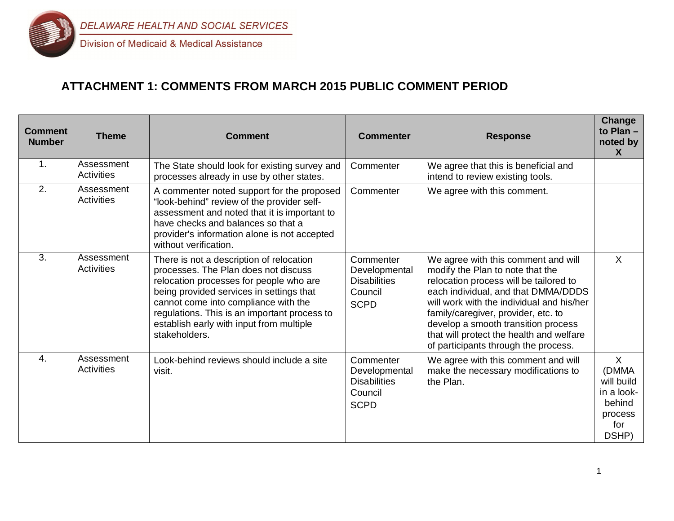

# **ATTACHMENT 1: COMMENTS FROM MARCH 2015 PUBLIC COMMENT PERIOD**

| <b>Comment</b><br><b>Number</b> | <b>Theme</b>                    | <b>Comment</b>                                                                                                                                                                                                                                                                                                               | <b>Commenter</b>                                                            | <b>Response</b>                                                                                                                                                                                                                                                                                                                                                         | <b>Change</b><br>to Plan -<br>noted by<br>X                                       |
|---------------------------------|---------------------------------|------------------------------------------------------------------------------------------------------------------------------------------------------------------------------------------------------------------------------------------------------------------------------------------------------------------------------|-----------------------------------------------------------------------------|-------------------------------------------------------------------------------------------------------------------------------------------------------------------------------------------------------------------------------------------------------------------------------------------------------------------------------------------------------------------------|-----------------------------------------------------------------------------------|
| $\mathbf 1$ .                   | Assessment<br><b>Activities</b> | The State should look for existing survey and<br>processes already in use by other states.                                                                                                                                                                                                                                   | Commenter                                                                   | We agree that this is beneficial and<br>intend to review existing tools.                                                                                                                                                                                                                                                                                                |                                                                                   |
| 2.                              | Assessment<br><b>Activities</b> | A commenter noted support for the proposed<br>"look-behind" review of the provider self-<br>assessment and noted that it is important to<br>have checks and balances so that a<br>provider's information alone is not accepted<br>without verification.                                                                      | Commenter                                                                   | We agree with this comment.                                                                                                                                                                                                                                                                                                                                             |                                                                                   |
| 3.                              | Assessment<br><b>Activities</b> | There is not a description of relocation<br>processes. The Plan does not discuss<br>relocation processes for people who are<br>being provided services in settings that<br>cannot come into compliance with the<br>regulations. This is an important process to<br>establish early with input from multiple<br>stakeholders. | Commenter<br>Developmental<br><b>Disabilities</b><br>Council<br><b>SCPD</b> | We agree with this comment and will<br>modify the Plan to note that the<br>relocation process will be tailored to<br>each individual, and that DMMA/DDDS<br>will work with the individual and his/her<br>family/caregiver, provider, etc. to<br>develop a smooth transition process<br>that will protect the health and welfare<br>of participants through the process. | $\sf X$                                                                           |
| $\overline{4}$ .                | Assessment<br>Activities        | Look-behind reviews should include a site<br>visit.                                                                                                                                                                                                                                                                          | Commenter<br>Developmental<br><b>Disabilities</b><br>Council<br><b>SCPD</b> | We agree with this comment and will<br>make the necessary modifications to<br>the Plan.                                                                                                                                                                                                                                                                                 | $\sf X$<br>(DMMA<br>will build<br>in a look-<br>behind<br>process<br>for<br>DSHP) |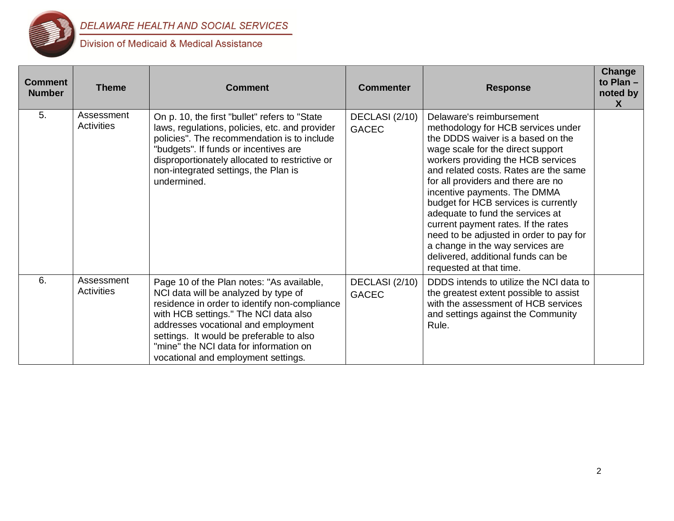

| <b>Comment</b><br><b>Number</b> | <b>Theme</b>                    | <b>Comment</b>                                                                                                                                                                                                                                                                                                                                  | <b>Commenter</b>               | <b>Response</b>                                                                                                                                                                                                                                                                                                                                                                                                                                                                                                                                                  | Change<br>to $Plan -$<br>noted by<br>X. |
|---------------------------------|---------------------------------|-------------------------------------------------------------------------------------------------------------------------------------------------------------------------------------------------------------------------------------------------------------------------------------------------------------------------------------------------|--------------------------------|------------------------------------------------------------------------------------------------------------------------------------------------------------------------------------------------------------------------------------------------------------------------------------------------------------------------------------------------------------------------------------------------------------------------------------------------------------------------------------------------------------------------------------------------------------------|-----------------------------------------|
| 5.                              | Assessment<br><b>Activities</b> | On p. 10, the first "bullet" refers to "State<br>laws, regulations, policies, etc. and provider<br>policies". The recommendation is to include<br>"budgets". If funds or incentives are<br>disproportionately allocated to restrictive or<br>non-integrated settings, the Plan is<br>undermined.                                                | DECLASI (2/10)<br><b>GACEC</b> | Delaware's reimbursement<br>methodology for HCB services under<br>the DDDS waiver is a based on the<br>wage scale for the direct support<br>workers providing the HCB services<br>and related costs. Rates are the same<br>for all providers and there are no<br>incentive payments. The DMMA<br>budget for HCB services is currently<br>adequate to fund the services at<br>current payment rates. If the rates<br>need to be adjusted in order to pay for<br>a change in the way services are<br>delivered, additional funds can be<br>requested at that time. |                                         |
| 6.                              | Assessment<br>Activities        | Page 10 of the Plan notes: "As available,<br>NCI data will be analyzed by type of<br>residence in order to identify non-compliance<br>with HCB settings." The NCI data also<br>addresses vocational and employment<br>settings. It would be preferable to also<br>"mine" the NCI data for information on<br>vocational and employment settings. | DECLASI (2/10)<br><b>GACEC</b> | DDDS intends to utilize the NCI data to<br>the greatest extent possible to assist<br>with the assessment of HCB services<br>and settings against the Community<br>Rule.                                                                                                                                                                                                                                                                                                                                                                                          |                                         |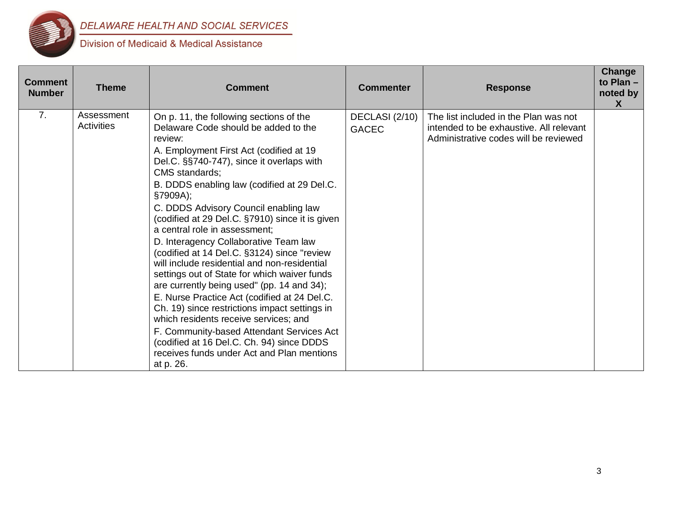

| <b>Comment</b><br><b>Number</b> | <b>Theme</b>                    | <b>Comment</b>                                                                                                                                                                                                                                                                                                                                                                                                                                                                                                                                                                                                                                                                                                                                                                                                                                                                                                                           | <b>Commenter</b>               | <b>Response</b>                                                                                                           | Change<br>to Plan -<br>noted by<br>$\mathsf{X}$ |
|---------------------------------|---------------------------------|------------------------------------------------------------------------------------------------------------------------------------------------------------------------------------------------------------------------------------------------------------------------------------------------------------------------------------------------------------------------------------------------------------------------------------------------------------------------------------------------------------------------------------------------------------------------------------------------------------------------------------------------------------------------------------------------------------------------------------------------------------------------------------------------------------------------------------------------------------------------------------------------------------------------------------------|--------------------------------|---------------------------------------------------------------------------------------------------------------------------|-------------------------------------------------|
| 7.                              | Assessment<br><b>Activities</b> | On p. 11, the following sections of the<br>Delaware Code should be added to the<br>review:<br>A. Employment First Act (codified at 19<br>Del.C. §§740-747), since it overlaps with<br><b>CMS</b> standards:<br>B. DDDS enabling law (codified at 29 Del.C.<br>§7909A);<br>C. DDDS Advisory Council enabling law<br>(codified at 29 Del.C. §7910) since it is given<br>a central role in assessment;<br>D. Interagency Collaborative Team law<br>(codified at 14 Del.C. §3124) since "review<br>will include residential and non-residential<br>settings out of State for which waiver funds<br>are currently being used" (pp. 14 and 34);<br>E. Nurse Practice Act (codified at 24 Del.C.<br>Ch. 19) since restrictions impact settings in<br>which residents receive services; and<br>F. Community-based Attendant Services Act<br>(codified at 16 Del.C. Ch. 94) since DDDS<br>receives funds under Act and Plan mentions<br>at p. 26. | DECLASI (2/10)<br><b>GACEC</b> | The list included in the Plan was not<br>intended to be exhaustive. All relevant<br>Administrative codes will be reviewed |                                                 |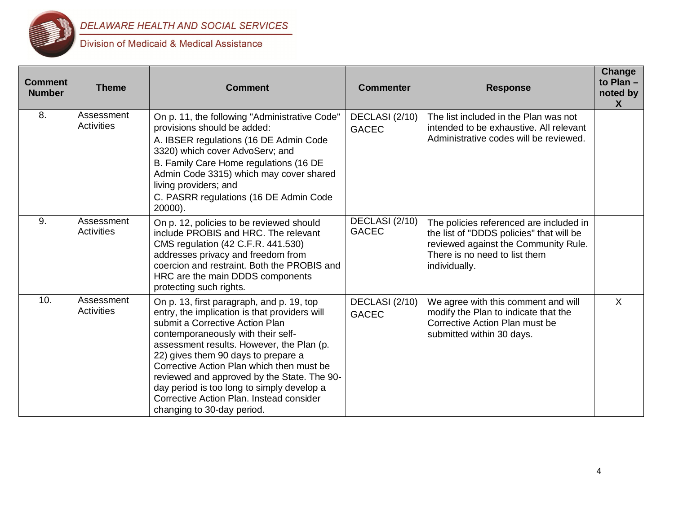

| <b>Comment</b><br><b>Number</b> | <b>Theme</b>                    | <b>Comment</b>                                                                                                                                                                                                                                                                                                                                                                                                                                                              | <b>Commenter</b>               | <b>Response</b>                                                                                                                                                               | Change<br>to Plan $-$<br>noted by<br>X |
|---------------------------------|---------------------------------|-----------------------------------------------------------------------------------------------------------------------------------------------------------------------------------------------------------------------------------------------------------------------------------------------------------------------------------------------------------------------------------------------------------------------------------------------------------------------------|--------------------------------|-------------------------------------------------------------------------------------------------------------------------------------------------------------------------------|----------------------------------------|
| 8.                              | Assessment<br><b>Activities</b> | On p. 11, the following "Administrative Code"<br>provisions should be added:<br>A. IBSER regulations (16 DE Admin Code<br>3320) which cover AdvoServ; and<br>B. Family Care Home regulations (16 DE<br>Admin Code 3315) which may cover shared<br>living providers; and<br>C. PASRR regulations (16 DE Admin Code<br>20000).                                                                                                                                                | DECLASI (2/10)<br><b>GACEC</b> | The list included in the Plan was not<br>intended to be exhaustive. All relevant<br>Administrative codes will be reviewed.                                                    |                                        |
| 9.                              | Assessment<br><b>Activities</b> | On p. 12, policies to be reviewed should<br>include PROBIS and HRC. The relevant<br>CMS regulation (42 C.F.R. 441.530)<br>addresses privacy and freedom from<br>coercion and restraint. Both the PROBIS and<br>HRC are the main DDDS components<br>protecting such rights.                                                                                                                                                                                                  | DECLASI (2/10)<br><b>GACEC</b> | The policies referenced are included in<br>the list of "DDDS policies" that will be<br>reviewed against the Community Rule.<br>There is no need to list them<br>individually. |                                        |
| 10.                             | Assessment<br><b>Activities</b> | On p. 13, first paragraph, and p. 19, top<br>entry, the implication is that providers will<br>submit a Corrective Action Plan<br>contemporaneously with their self-<br>assessment results. However, the Plan (p.<br>22) gives them 90 days to prepare a<br>Corrective Action Plan which then must be<br>reviewed and approved by the State. The 90-<br>day period is too long to simply develop a<br>Corrective Action Plan, Instead consider<br>changing to 30-day period. | DECLASI (2/10)<br><b>GACEC</b> | We agree with this comment and will<br>modify the Plan to indicate that the<br>Corrective Action Plan must be<br>submitted within 30 days.                                    | $\mathsf{X}$                           |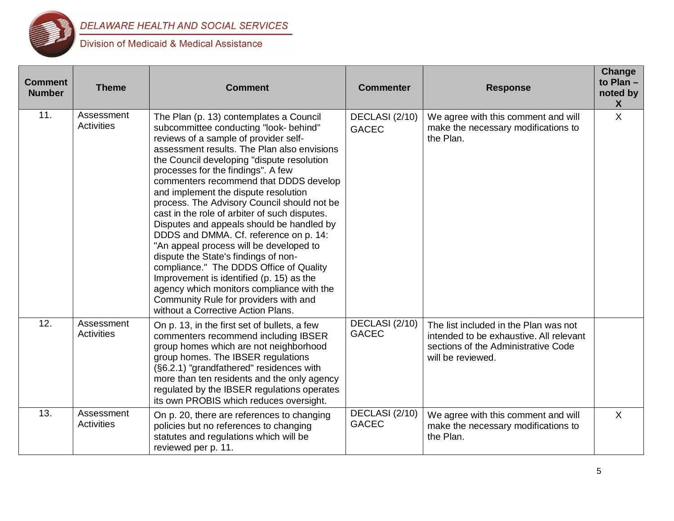

| <b>Comment</b><br><b>Number</b> | <b>Theme</b>                    | <b>Comment</b>                                                                                                                                                                                                                                                                                                                                                                                                                                                                                                                                                                                                                                                                                                                                                                                                                               | <b>Commenter</b>               | <b>Response</b>                                                                                                                              | Change<br>to Plan -<br>noted by<br>X |
|---------------------------------|---------------------------------|----------------------------------------------------------------------------------------------------------------------------------------------------------------------------------------------------------------------------------------------------------------------------------------------------------------------------------------------------------------------------------------------------------------------------------------------------------------------------------------------------------------------------------------------------------------------------------------------------------------------------------------------------------------------------------------------------------------------------------------------------------------------------------------------------------------------------------------------|--------------------------------|----------------------------------------------------------------------------------------------------------------------------------------------|--------------------------------------|
| 11.                             | Assessment<br><b>Activities</b> | The Plan (p. 13) contemplates a Council<br>subcommittee conducting "look- behind"<br>reviews of a sample of provider self-<br>assessment results. The Plan also envisions<br>the Council developing "dispute resolution<br>processes for the findings". A few<br>commenters recommend that DDDS develop<br>and implement the dispute resolution<br>process. The Advisory Council should not be<br>cast in the role of arbiter of such disputes.<br>Disputes and appeals should be handled by<br>DDDS and DMMA. Cf. reference on p. 14:<br>"An appeal process will be developed to<br>dispute the State's findings of non-<br>compliance." The DDDS Office of Quality<br>Improvement is identified (p. 15) as the<br>agency which monitors compliance with the<br>Community Rule for providers with and<br>without a Corrective Action Plans. | DECLASI (2/10)<br><b>GACEC</b> | We agree with this comment and will<br>make the necessary modifications to<br>the Plan.                                                      | $\mathsf{X}$                         |
| 12.                             | Assessment<br><b>Activities</b> | On p. 13, in the first set of bullets, a few<br>commenters recommend including IBSER<br>group homes which are not neighborhood<br>group homes. The IBSER regulations<br>(§6.2.1) "grandfathered" residences with<br>more than ten residents and the only agency<br>regulated by the IBSER regulations operates<br>its own PROBIS which reduces oversight.                                                                                                                                                                                                                                                                                                                                                                                                                                                                                    | DECLASI (2/10)<br><b>GACEC</b> | The list included in the Plan was not<br>intended to be exhaustive. All relevant<br>sections of the Administrative Code<br>will be reviewed. |                                      |
| 13.                             | Assessment<br><b>Activities</b> | On p. 20, there are references to changing<br>policies but no references to changing<br>statutes and regulations which will be<br>reviewed per p. 11.                                                                                                                                                                                                                                                                                                                                                                                                                                                                                                                                                                                                                                                                                        | DECLASI (2/10)<br><b>GACEC</b> | We agree with this comment and will<br>make the necessary modifications to<br>the Plan.                                                      | $\sf X$                              |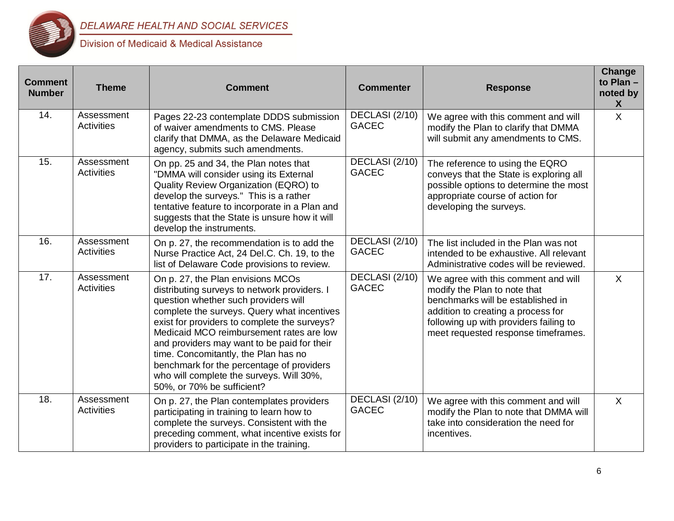

| <b>Comment</b><br><b>Number</b> | <b>Theme</b>                    | <b>Comment</b>                                                                                                                                                                                                                                                                                                                                                                                                                                                                     | <b>Commenter</b>               | <b>Response</b>                                                                                                                                                                                                                 | Change<br>to Plan -<br>noted by<br>X |
|---------------------------------|---------------------------------|------------------------------------------------------------------------------------------------------------------------------------------------------------------------------------------------------------------------------------------------------------------------------------------------------------------------------------------------------------------------------------------------------------------------------------------------------------------------------------|--------------------------------|---------------------------------------------------------------------------------------------------------------------------------------------------------------------------------------------------------------------------------|--------------------------------------|
| 14.                             | Assessment<br><b>Activities</b> | Pages 22-23 contemplate DDDS submission<br>of waiver amendments to CMS. Please<br>clarify that DMMA, as the Delaware Medicaid<br>agency, submits such amendments.                                                                                                                                                                                                                                                                                                                  | DECLASI (2/10)<br><b>GACEC</b> | We agree with this comment and will<br>modify the Plan to clarify that DMMA<br>will submit any amendments to CMS.                                                                                                               | $\sf X$                              |
| 15.                             | Assessment<br><b>Activities</b> | On pp. 25 and 34, the Plan notes that<br>"DMMA will consider using its External<br>Quality Review Organization (EQRO) to<br>develop the surveys." This is a rather<br>tentative feature to incorporate in a Plan and<br>suggests that the State is unsure how it will<br>develop the instruments.                                                                                                                                                                                  | DECLASI (2/10)<br><b>GACEC</b> | The reference to using the EQRO<br>conveys that the State is exploring all<br>possible options to determine the most<br>appropriate course of action for<br>developing the surveys.                                             |                                      |
| 16.                             | Assessment<br><b>Activities</b> | On p. 27, the recommendation is to add the<br>Nurse Practice Act, 24 Del.C. Ch. 19, to the<br>list of Delaware Code provisions to review.                                                                                                                                                                                                                                                                                                                                          | DECLASI (2/10)<br><b>GACEC</b> | The list included in the Plan was not<br>intended to be exhaustive. All relevant<br>Administrative codes will be reviewed.                                                                                                      |                                      |
| 17.                             | Assessment<br><b>Activities</b> | On p. 27, the Plan envisions MCOs<br>distributing surveys to network providers. I<br>question whether such providers will<br>complete the surveys. Query what incentives<br>exist for providers to complete the surveys?<br>Medicaid MCO reimbursement rates are low<br>and providers may want to be paid for their<br>time. Concomitantly, the Plan has no<br>benchmark for the percentage of providers<br>who will complete the surveys. Will 30%,<br>50%, or 70% be sufficient? | DECLASI (2/10)<br><b>GACEC</b> | We agree with this comment and will<br>modify the Plan to note that<br>benchmarks will be established in<br>addition to creating a process for<br>following up with providers failing to<br>meet requested response timeframes. | $\sf X$                              |
| $\overline{18}$ .               | Assessment<br>Activities        | On p. 27, the Plan contemplates providers<br>participating in training to learn how to<br>complete the surveys. Consistent with the<br>preceding comment, what incentive exists for<br>providers to participate in the training.                                                                                                                                                                                                                                                   | DECLASI (2/10)<br><b>GACEC</b> | We agree with this comment and will<br>modify the Plan to note that DMMA will<br>take into consideration the need for<br>incentives.                                                                                            | $\sf X$                              |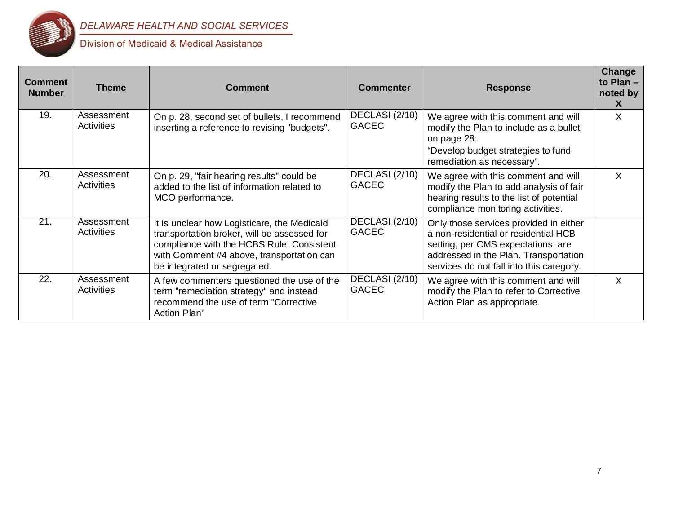

| <b>Comment</b><br><b>Number</b> | <b>Theme</b>             | <b>Comment</b>                                                                                                                                                                                                       | <b>Commenter</b>               | <b>Response</b>                                                                                                                                                                                           | Change<br>to Plan $-$<br>noted by<br>X |
|---------------------------------|--------------------------|----------------------------------------------------------------------------------------------------------------------------------------------------------------------------------------------------------------------|--------------------------------|-----------------------------------------------------------------------------------------------------------------------------------------------------------------------------------------------------------|----------------------------------------|
| 19.                             | Assessment<br>Activities | On p. 28, second set of bullets, I recommend<br>inserting a reference to revising "budgets".                                                                                                                         | DECLASI (2/10)<br><b>GACEC</b> | We agree with this comment and will<br>modify the Plan to include as a bullet<br>on page 28:<br>"Develop budget strategies to fund<br>remediation as necessary".                                          | X                                      |
| 20.                             | Assessment<br>Activities | On p. 29, "fair hearing results" could be<br>added to the list of information related to<br>MCO performance.                                                                                                         | DECLASI (2/10)<br><b>GACEC</b> | We agree with this comment and will<br>modify the Plan to add analysis of fair<br>hearing results to the list of potential<br>compliance monitoring activities.                                           | $\mathsf{X}$                           |
| 21.                             | Assessment<br>Activities | It is unclear how Logisticare, the Medicaid<br>transportation broker, will be assessed for<br>compliance with the HCBS Rule. Consistent<br>with Comment #4 above, transportation can<br>be integrated or segregated. | DECLASI (2/10)<br><b>GACEC</b> | Only those services provided in either<br>a non-residential or residential HCB<br>setting, per CMS expectations, are<br>addressed in the Plan. Transportation<br>services do not fall into this category. |                                        |
| 22.                             | Assessment<br>Activities | A few commenters questioned the use of the<br>term "remediation strategy" and instead<br>recommend the use of term "Corrective<br>Action Plan"                                                                       | DECLASI (2/10)<br><b>GACEC</b> | We agree with this comment and will<br>modify the Plan to refer to Corrective<br>Action Plan as appropriate.                                                                                              | $\sf X$                                |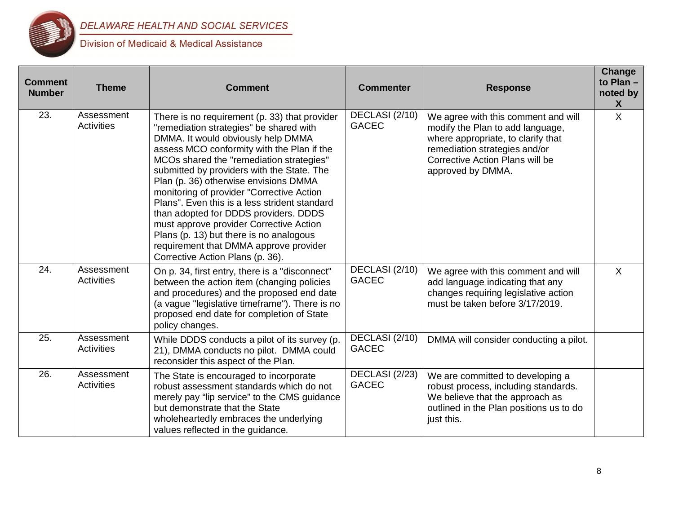

| <b>Comment</b><br><b>Number</b> | <b>Theme</b>                    | <b>Comment</b>                                                                                                                                                                                                                                                                                                                                                                                                                                                                                                                                                                                                             | <b>Commenter</b>               | <b>Response</b>                                                                                                                                                                                        | Change<br>to Plan -<br>noted by<br>X |
|---------------------------------|---------------------------------|----------------------------------------------------------------------------------------------------------------------------------------------------------------------------------------------------------------------------------------------------------------------------------------------------------------------------------------------------------------------------------------------------------------------------------------------------------------------------------------------------------------------------------------------------------------------------------------------------------------------------|--------------------------------|--------------------------------------------------------------------------------------------------------------------------------------------------------------------------------------------------------|--------------------------------------|
| 23.                             | Assessment<br>Activities        | There is no requirement (p. 33) that provider<br>"remediation strategies" be shared with<br>DMMA. It would obviously help DMMA<br>assess MCO conformity with the Plan if the<br>MCOs shared the "remediation strategies"<br>submitted by providers with the State. The<br>Plan (p. 36) otherwise envisions DMMA<br>monitoring of provider "Corrective Action<br>Plans". Even this is a less strident standard<br>than adopted for DDDS providers. DDDS<br>must approve provider Corrective Action<br>Plans (p. 13) but there is no analogous<br>requirement that DMMA approve provider<br>Corrective Action Plans (p. 36). | DECLASI (2/10)<br><b>GACEC</b> | We agree with this comment and will<br>modify the Plan to add language,<br>where appropriate, to clarify that<br>remediation strategies and/or<br>Corrective Action Plans will be<br>approved by DMMA. | $\sf X$                              |
| 24.                             | Assessment<br><b>Activities</b> | On p. 34, first entry, there is a "disconnect"<br>between the action item (changing policies<br>and procedures) and the proposed end date<br>(a vague "legislative timeframe"). There is no<br>proposed end date for completion of State<br>policy changes.                                                                                                                                                                                                                                                                                                                                                                | DECLASI (2/10)<br><b>GACEC</b> | We agree with this comment and will<br>add language indicating that any<br>changes requiring legislative action<br>must be taken before 3/17/2019.                                                     | $\sf X$                              |
| $\overline{25}$ .               | Assessment<br>Activities        | While DDDS conducts a pilot of its survey (p.<br>21), DMMA conducts no pilot. DMMA could<br>reconsider this aspect of the Plan.                                                                                                                                                                                                                                                                                                                                                                                                                                                                                            | DECLASI (2/10)<br><b>GACEC</b> | DMMA will consider conducting a pilot.                                                                                                                                                                 |                                      |
| 26.                             | Assessment<br>Activities        | The State is encouraged to incorporate<br>robust assessment standards which do not<br>merely pay "lip service" to the CMS guidance<br>but demonstrate that the State<br>wholeheartedly embraces the underlying<br>values reflected in the guidance.                                                                                                                                                                                                                                                                                                                                                                        | DECLASI (2/23)<br><b>GACEC</b> | We are committed to developing a<br>robust process, including standards.<br>We believe that the approach as<br>outlined in the Plan positions us to do<br>just this.                                   |                                      |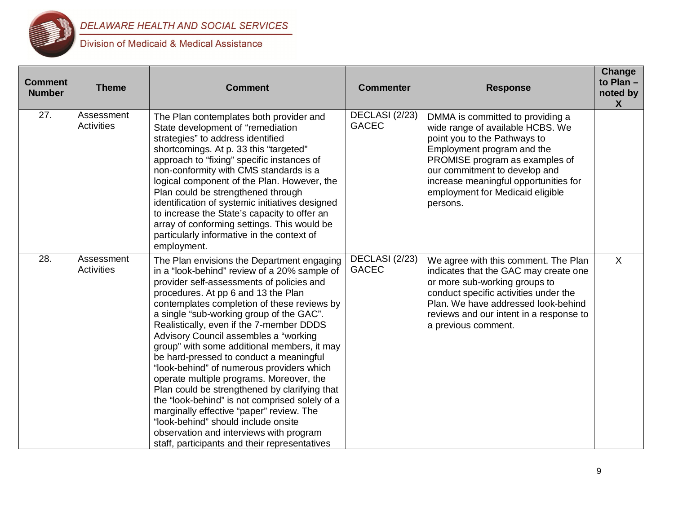

| <b>Comment</b><br><b>Number</b> | <b>Theme</b>                    | <b>Comment</b>                                                                                                                                                                                                                                                                                                                                                                                                                                                                                                                                                                                                                                                                                                                                                                                                                      | <b>Commenter</b>               | <b>Response</b>                                                                                                                                                                                                                                                                                | <b>Change</b><br>to Plan -<br>noted by<br>$\boldsymbol{X}$ |
|---------------------------------|---------------------------------|-------------------------------------------------------------------------------------------------------------------------------------------------------------------------------------------------------------------------------------------------------------------------------------------------------------------------------------------------------------------------------------------------------------------------------------------------------------------------------------------------------------------------------------------------------------------------------------------------------------------------------------------------------------------------------------------------------------------------------------------------------------------------------------------------------------------------------------|--------------------------------|------------------------------------------------------------------------------------------------------------------------------------------------------------------------------------------------------------------------------------------------------------------------------------------------|------------------------------------------------------------|
| 27.                             | Assessment<br><b>Activities</b> | The Plan contemplates both provider and<br>State development of "remediation<br>strategies" to address identified<br>shortcomings. At p. 33 this "targeted"<br>approach to "fixing" specific instances of<br>non-conformity with CMS standards is a<br>logical component of the Plan. However, the<br>Plan could be strengthened through<br>identification of systemic initiatives designed<br>to increase the State's capacity to offer an<br>array of conforming settings. This would be<br>particularly informative in the context of<br>employment.                                                                                                                                                                                                                                                                             | DECLASI (2/23)<br><b>GACEC</b> | DMMA is committed to providing a<br>wide range of available HCBS. We<br>point you to the Pathways to<br>Employment program and the<br>PROMISE program as examples of<br>our commitment to develop and<br>increase meaningful opportunities for<br>employment for Medicaid eligible<br>persons. |                                                            |
| 28.                             | Assessment<br><b>Activities</b> | The Plan envisions the Department engaging<br>in a "look-behind" review of a 20% sample of<br>provider self-assessments of policies and<br>procedures. At pp 6 and 13 the Plan<br>contemplates completion of these reviews by<br>a single "sub-working group of the GAC".<br>Realistically, even if the 7-member DDDS<br>Advisory Council assembles a "working<br>group" with some additional members, it may<br>be hard-pressed to conduct a meaningful<br>"look-behind" of numerous providers which<br>operate multiple programs. Moreover, the<br>Plan could be strengthened by clarifying that<br>the "look-behind" is not comprised solely of a<br>marginally effective "paper" review. The<br>"look-behind" should include onsite<br>observation and interviews with program<br>staff, participants and their representatives | DECLASI (2/23)<br><b>GACEC</b> | We agree with this comment. The Plan<br>indicates that the GAC may create one<br>or more sub-working groups to<br>conduct specific activities under the<br>Plan. We have addressed look-behind<br>reviews and our intent in a response to<br>a previous comment.                               | $\mathsf{X}$                                               |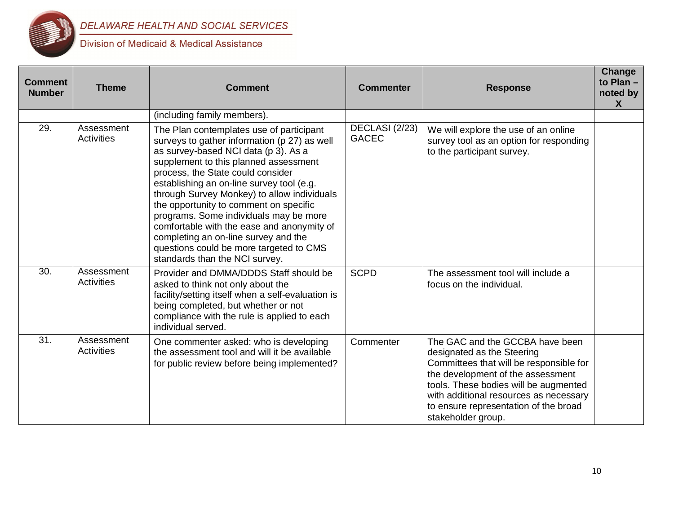

| <b>Comment</b><br><b>Number</b> | <b>Theme</b>                    | <b>Comment</b>                                                                                                                                                                                                                                                                                                                                                                                                                                                                                                                                                    | <b>Commenter</b>               | <b>Response</b>                                                                                                                                                                                                                                                                                 | Change<br>to Plan -<br>noted by<br>$\boldsymbol{X}$ |
|---------------------------------|---------------------------------|-------------------------------------------------------------------------------------------------------------------------------------------------------------------------------------------------------------------------------------------------------------------------------------------------------------------------------------------------------------------------------------------------------------------------------------------------------------------------------------------------------------------------------------------------------------------|--------------------------------|-------------------------------------------------------------------------------------------------------------------------------------------------------------------------------------------------------------------------------------------------------------------------------------------------|-----------------------------------------------------|
|                                 |                                 | (including family members).                                                                                                                                                                                                                                                                                                                                                                                                                                                                                                                                       |                                |                                                                                                                                                                                                                                                                                                 |                                                     |
| 29.                             | Assessment<br><b>Activities</b> | The Plan contemplates use of participant<br>surveys to gather information (p 27) as well<br>as survey-based NCI data (p 3). As a<br>supplement to this planned assessment<br>process, the State could consider<br>establishing an on-line survey tool (e.g.<br>through Survey Monkey) to allow individuals<br>the opportunity to comment on specific<br>programs. Some individuals may be more<br>comfortable with the ease and anonymity of<br>completing an on-line survey and the<br>questions could be more targeted to CMS<br>standards than the NCI survey. | DECLASI (2/23)<br><b>GACEC</b> | We will explore the use of an online<br>survey tool as an option for responding<br>to the participant survey.                                                                                                                                                                                   |                                                     |
| 30.                             | Assessment<br><b>Activities</b> | Provider and DMMA/DDDS Staff should be<br>asked to think not only about the<br>facility/setting itself when a self-evaluation is<br>being completed, but whether or not<br>compliance with the rule is applied to each<br>individual served.                                                                                                                                                                                                                                                                                                                      | <b>SCPD</b>                    | The assessment tool will include a<br>focus on the individual.                                                                                                                                                                                                                                  |                                                     |
| 31.                             | Assessment<br><b>Activities</b> | One commenter asked: who is developing<br>the assessment tool and will it be available<br>for public review before being implemented?                                                                                                                                                                                                                                                                                                                                                                                                                             | Commenter                      | The GAC and the GCCBA have been<br>designated as the Steering<br>Committees that will be responsible for<br>the development of the assessment<br>tools. These bodies will be augmented<br>with additional resources as necessary<br>to ensure representation of the broad<br>stakeholder group. |                                                     |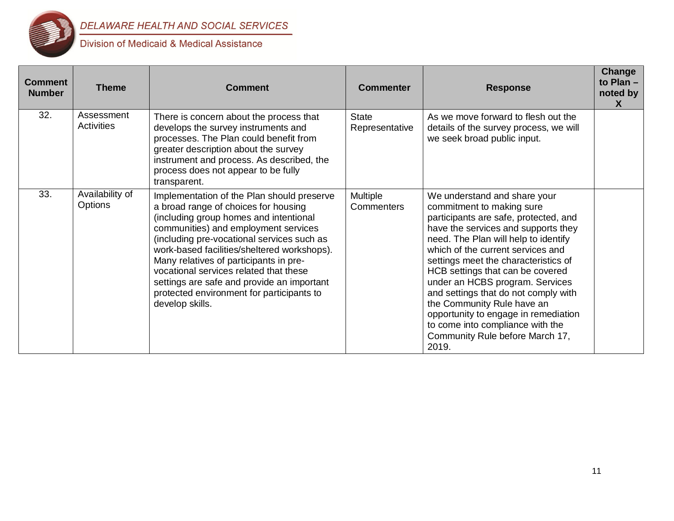

# DELAWARE HEALTH AND SOCIAL SERVICES

| <b>Comment</b><br><b>Number</b> | <b>Theme</b>               | <b>Comment</b>                                                                                                                                                                                                                                                                                                                                                                                                                                                      | <b>Commenter</b>               | <b>Response</b>                                                                                                                                                                                                                                                                                                                                                                                                                                                                                                                     | Change<br>to Plan $-$<br>noted by<br>X |
|---------------------------------|----------------------------|---------------------------------------------------------------------------------------------------------------------------------------------------------------------------------------------------------------------------------------------------------------------------------------------------------------------------------------------------------------------------------------------------------------------------------------------------------------------|--------------------------------|-------------------------------------------------------------------------------------------------------------------------------------------------------------------------------------------------------------------------------------------------------------------------------------------------------------------------------------------------------------------------------------------------------------------------------------------------------------------------------------------------------------------------------------|----------------------------------------|
| 32.                             | Assessment<br>Activities   | There is concern about the process that<br>develops the survey instruments and<br>processes. The Plan could benefit from<br>greater description about the survey<br>instrument and process. As described, the<br>process does not appear to be fully<br>transparent.                                                                                                                                                                                                | <b>State</b><br>Representative | As we move forward to flesh out the<br>details of the survey process, we will<br>we seek broad public input.                                                                                                                                                                                                                                                                                                                                                                                                                        |                                        |
| 33.                             | Availability of<br>Options | Implementation of the Plan should preserve<br>a broad range of choices for housing<br>(including group homes and intentional<br>communities) and employment services<br>(including pre-vocational services such as<br>work-based facilities/sheltered workshops).<br>Many relatives of participants in pre-<br>vocational services related that these<br>settings are safe and provide an important<br>protected environment for participants to<br>develop skills. | Multiple<br><b>Commenters</b>  | We understand and share your<br>commitment to making sure<br>participants are safe, protected, and<br>have the services and supports they<br>need. The Plan will help to identify<br>which of the current services and<br>settings meet the characteristics of<br>HCB settings that can be covered<br>under an HCBS program. Services<br>and settings that do not comply with<br>the Community Rule have an<br>opportunity to engage in remediation<br>to come into compliance with the<br>Community Rule before March 17,<br>2019. |                                        |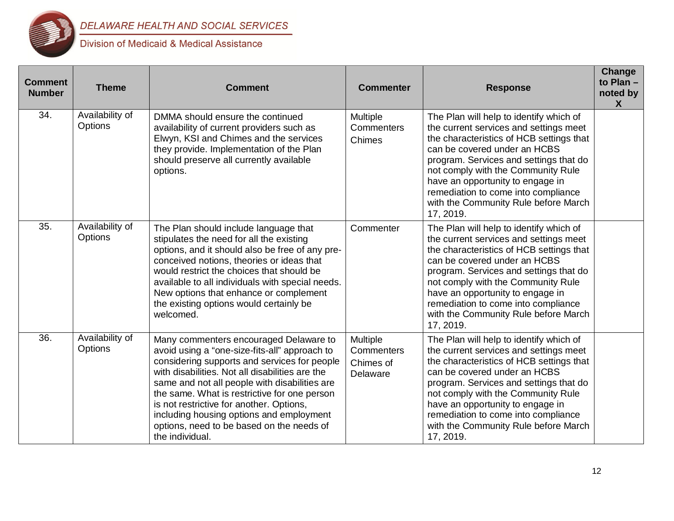

| <b>Comment</b><br><b>Number</b> | <b>Theme</b>               | <b>Comment</b>                                                                                                                                                                                                                                                                                                                                                                                                                                      | <b>Commenter</b>                                | <b>Response</b>                                                                                                                                                                                                                                                                                                                                                               | Change<br>to Plan -<br>noted by<br>X |
|---------------------------------|----------------------------|-----------------------------------------------------------------------------------------------------------------------------------------------------------------------------------------------------------------------------------------------------------------------------------------------------------------------------------------------------------------------------------------------------------------------------------------------------|-------------------------------------------------|-------------------------------------------------------------------------------------------------------------------------------------------------------------------------------------------------------------------------------------------------------------------------------------------------------------------------------------------------------------------------------|--------------------------------------|
| 34.                             | Availability of<br>Options | DMMA should ensure the continued<br>availability of current providers such as<br>Elwyn, KSI and Chimes and the services<br>they provide. Implementation of the Plan<br>should preserve all currently available<br>options.                                                                                                                                                                                                                          | Multiple<br>Commenters<br>Chimes                | The Plan will help to identify which of<br>the current services and settings meet<br>the characteristics of HCB settings that<br>can be covered under an HCBS<br>program. Services and settings that do<br>not comply with the Community Rule<br>have an opportunity to engage in<br>remediation to come into compliance<br>with the Community Rule before March<br>17, 2019. |                                      |
| 35.                             | Availability of<br>Options | The Plan should include language that<br>stipulates the need for all the existing<br>options, and it should also be free of any pre-<br>conceived notions, theories or ideas that<br>would restrict the choices that should be<br>available to all individuals with special needs.<br>New options that enhance or complement<br>the existing options would certainly be<br>welcomed.                                                                | Commenter                                       | The Plan will help to identify which of<br>the current services and settings meet<br>the characteristics of HCB settings that<br>can be covered under an HCBS<br>program. Services and settings that do<br>not comply with the Community Rule<br>have an opportunity to engage in<br>remediation to come into compliance<br>with the Community Rule before March<br>17, 2019. |                                      |
| 36.                             | Availability of<br>Options | Many commenters encouraged Delaware to<br>avoid using a "one-size-fits-all" approach to<br>considering supports and services for people<br>with disabilities. Not all disabilities are the<br>same and not all people with disabilities are<br>the same. What is restrictive for one person<br>is not restrictive for another. Options,<br>including housing options and employment<br>options, need to be based on the needs of<br>the individual. | Multiple<br>Commenters<br>Chimes of<br>Delaware | The Plan will help to identify which of<br>the current services and settings meet<br>the characteristics of HCB settings that<br>can be covered under an HCBS<br>program. Services and settings that do<br>not comply with the Community Rule<br>have an opportunity to engage in<br>remediation to come into compliance<br>with the Community Rule before March<br>17, 2019. |                                      |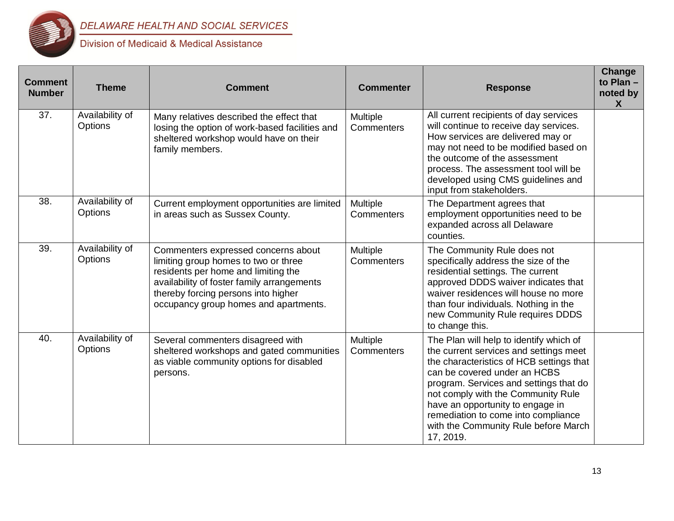

| <b>Comment</b><br><b>Number</b> | <b>Theme</b>               | <b>Comment</b>                                                                                                                                                                                                                                   | <b>Commenter</b>              | <b>Response</b>                                                                                                                                                                                                                                                                                                                                                               | Change<br>to Plan -<br>noted by<br>$\boldsymbol{X}$ |
|---------------------------------|----------------------------|--------------------------------------------------------------------------------------------------------------------------------------------------------------------------------------------------------------------------------------------------|-------------------------------|-------------------------------------------------------------------------------------------------------------------------------------------------------------------------------------------------------------------------------------------------------------------------------------------------------------------------------------------------------------------------------|-----------------------------------------------------|
| 37.                             | Availability of<br>Options | Many relatives described the effect that<br>losing the option of work-based facilities and<br>sheltered workshop would have on their<br>family members.                                                                                          | Multiple<br><b>Commenters</b> | All current recipients of day services<br>will continue to receive day services.<br>How services are delivered may or<br>may not need to be modified based on<br>the outcome of the assessment<br>process. The assessment tool will be<br>developed using CMS guidelines and<br>input from stakeholders.                                                                      |                                                     |
| 38.                             | Availability of<br>Options | Current employment opportunities are limited<br>in areas such as Sussex County.                                                                                                                                                                  | Multiple<br>Commenters        | The Department agrees that<br>employment opportunities need to be<br>expanded across all Delaware<br>counties.                                                                                                                                                                                                                                                                |                                                     |
| 39.                             | Availability of<br>Options | Commenters expressed concerns about<br>limiting group homes to two or three<br>residents per home and limiting the<br>availability of foster family arrangements<br>thereby forcing persons into higher<br>occupancy group homes and apartments. | Multiple<br>Commenters        | The Community Rule does not<br>specifically address the size of the<br>residential settings. The current<br>approved DDDS waiver indicates that<br>waiver residences will house no more<br>than four individuals. Nothing in the<br>new Community Rule requires DDDS<br>to change this.                                                                                       |                                                     |
| 40.                             | Availability of<br>Options | Several commenters disagreed with<br>sheltered workshops and gated communities<br>as viable community options for disabled<br>persons.                                                                                                           | Multiple<br><b>Commenters</b> | The Plan will help to identify which of<br>the current services and settings meet<br>the characteristics of HCB settings that<br>can be covered under an HCBS<br>program. Services and settings that do<br>not comply with the Community Rule<br>have an opportunity to engage in<br>remediation to come into compliance<br>with the Community Rule before March<br>17, 2019. |                                                     |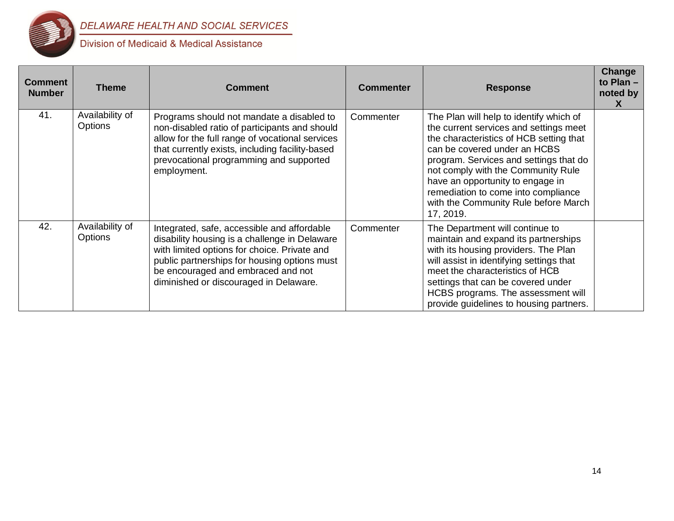

| <b>Comment</b><br><b>Number</b> | <b>Theme</b>                      | <b>Comment</b>                                                                                                                                                                                                                                                               | <b>Commenter</b> | <b>Response</b>                                                                                                                                                                                                                                                                                                                                                              | Change<br>to Plan $-$<br>noted by<br>X |
|---------------------------------|-----------------------------------|------------------------------------------------------------------------------------------------------------------------------------------------------------------------------------------------------------------------------------------------------------------------------|------------------|------------------------------------------------------------------------------------------------------------------------------------------------------------------------------------------------------------------------------------------------------------------------------------------------------------------------------------------------------------------------------|----------------------------------------|
| 41.                             | Availability of<br><b>Options</b> | Programs should not mandate a disabled to<br>non-disabled ratio of participants and should<br>allow for the full range of vocational services<br>that currently exists, including facility-based<br>prevocational programming and supported<br>employment.                   | Commenter        | The Plan will help to identify which of<br>the current services and settings meet<br>the characteristics of HCB setting that<br>can be covered under an HCBS<br>program. Services and settings that do<br>not comply with the Community Rule<br>have an opportunity to engage in<br>remediation to come into compliance<br>with the Community Rule before March<br>17, 2019. |                                        |
| 42.                             | Availability of<br><b>Options</b> | Integrated, safe, accessible and affordable<br>disability housing is a challenge in Delaware<br>with limited options for choice. Private and<br>public partnerships for housing options must<br>be encouraged and embraced and not<br>diminished or discouraged in Delaware. | Commenter        | The Department will continue to<br>maintain and expand its partnerships<br>with its housing providers. The Plan<br>will assist in identifying settings that<br>meet the characteristics of HCB<br>settings that can be covered under<br>HCBS programs. The assessment will<br>provide guidelines to housing partners.                                                        |                                        |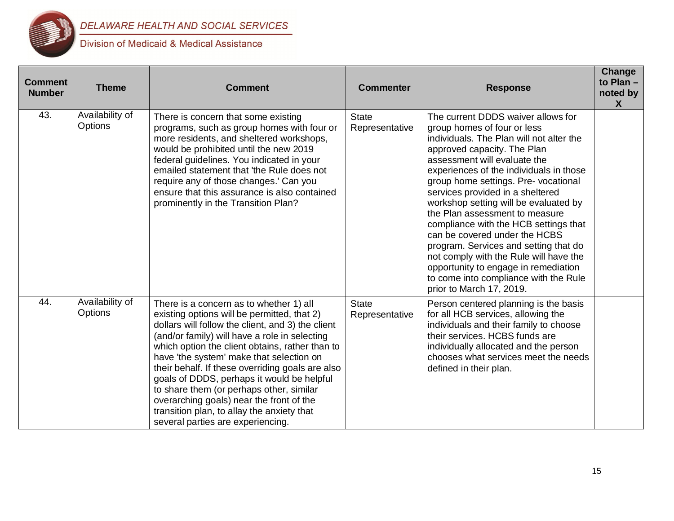

| <b>Comment</b><br><b>Number</b> | <b>Theme</b>                      | <b>Comment</b>                                                                                                                                                                                                                                                                                                                                                                                                                                                                                                                                                           | <b>Commenter</b>               | <b>Response</b>                                                                                                                                                                                                                                                                                                                                                                                                                                                                                                                                                                                                                                          | Change<br>to Plan -<br>noted by<br>$\mathsf{X}$ |
|---------------------------------|-----------------------------------|--------------------------------------------------------------------------------------------------------------------------------------------------------------------------------------------------------------------------------------------------------------------------------------------------------------------------------------------------------------------------------------------------------------------------------------------------------------------------------------------------------------------------------------------------------------------------|--------------------------------|----------------------------------------------------------------------------------------------------------------------------------------------------------------------------------------------------------------------------------------------------------------------------------------------------------------------------------------------------------------------------------------------------------------------------------------------------------------------------------------------------------------------------------------------------------------------------------------------------------------------------------------------------------|-------------------------------------------------|
| 43.                             | Availability of<br><b>Options</b> | There is concern that some existing<br>programs, such as group homes with four or<br>more residents, and sheltered workshops,<br>would be prohibited until the new 2019<br>federal guidelines. You indicated in your<br>emailed statement that 'the Rule does not<br>require any of those changes.' Can you<br>ensure that this assurance is also contained<br>prominently in the Transition Plan?                                                                                                                                                                       | <b>State</b><br>Representative | The current DDDS waiver allows for<br>group homes of four or less<br>individuals. The Plan will not alter the<br>approved capacity. The Plan<br>assessment will evaluate the<br>experiences of the individuals in those<br>group home settings. Pre- vocational<br>services provided in a sheltered<br>workshop setting will be evaluated by<br>the Plan assessment to measure<br>compliance with the HCB settings that<br>can be covered under the HCBS<br>program. Services and setting that do<br>not comply with the Rule will have the<br>opportunity to engage in remediation<br>to come into compliance with the Rule<br>prior to March 17, 2019. |                                                 |
| 44.                             | Availability of<br><b>Options</b> | There is a concern as to whether 1) all<br>existing options will be permitted, that 2)<br>dollars will follow the client, and 3) the client<br>(and/or family) will have a role in selecting<br>which option the client obtains, rather than to<br>have 'the system' make that selection on<br>their behalf. If these overriding goals are also<br>goals of DDDS, perhaps it would be helpful<br>to share them (or perhaps other, similar<br>overarching goals) near the front of the<br>transition plan, to allay the anxiety that<br>several parties are experiencing. | <b>State</b><br>Representative | Person centered planning is the basis<br>for all HCB services, allowing the<br>individuals and their family to choose<br>their services. HCBS funds are<br>individually allocated and the person<br>chooses what services meet the needs<br>defined in their plan.                                                                                                                                                                                                                                                                                                                                                                                       |                                                 |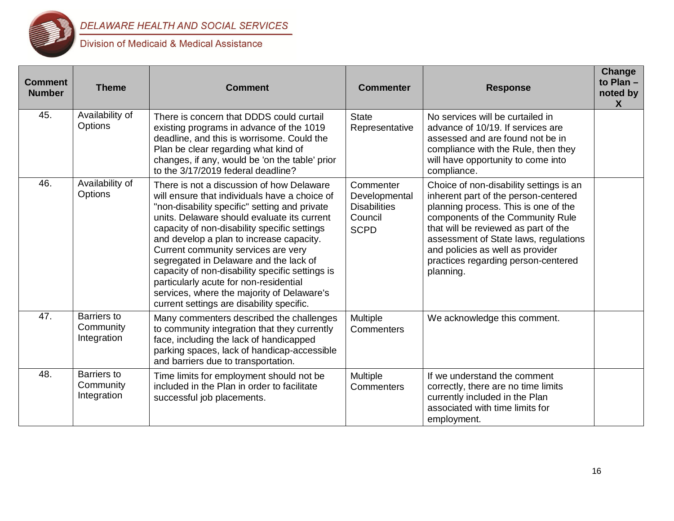

| <b>Comment</b><br><b>Number</b> | <b>Theme</b>                                   | <b>Comment</b>                                                                                                                                                                                                                                                                                                                                                                                                                                                                                                                                                  | <b>Commenter</b>                                                            | <b>Response</b>                                                                                                                                                                                                                                                                                                                      | Change<br>to Plan -<br>noted by<br>X |
|---------------------------------|------------------------------------------------|-----------------------------------------------------------------------------------------------------------------------------------------------------------------------------------------------------------------------------------------------------------------------------------------------------------------------------------------------------------------------------------------------------------------------------------------------------------------------------------------------------------------------------------------------------------------|-----------------------------------------------------------------------------|--------------------------------------------------------------------------------------------------------------------------------------------------------------------------------------------------------------------------------------------------------------------------------------------------------------------------------------|--------------------------------------|
| 45.                             | Availability of<br>Options                     | There is concern that DDDS could curtail<br>existing programs in advance of the 1019<br>deadline, and this is worrisome. Could the<br>Plan be clear regarding what kind of<br>changes, if any, would be 'on the table' prior<br>to the 3/17/2019 federal deadline?                                                                                                                                                                                                                                                                                              | <b>State</b><br>Representative                                              | No services will be curtailed in<br>advance of 10/19. If services are<br>assessed and are found not be in<br>compliance with the Rule, then they<br>will have opportunity to come into<br>compliance.                                                                                                                                |                                      |
| 46.                             | Availability of<br>Options                     | There is not a discussion of how Delaware<br>will ensure that individuals have a choice of<br>"non-disability specific" setting and private<br>units. Delaware should evaluate its current<br>capacity of non-disability specific settings<br>and develop a plan to increase capacity.<br>Current community services are very<br>segregated in Delaware and the lack of<br>capacity of non-disability specific settings is<br>particularly acute for non-residential<br>services, where the majority of Delaware's<br>current settings are disability specific. | Commenter<br>Developmental<br><b>Disabilities</b><br>Council<br><b>SCPD</b> | Choice of non-disability settings is an<br>inherent part of the person-centered<br>planning process. This is one of the<br>components of the Community Rule<br>that will be reviewed as part of the<br>assessment of State laws, regulations<br>and policies as well as provider<br>practices regarding person-centered<br>planning. |                                      |
| 47.                             | Barriers to<br>Community<br>Integration        | Many commenters described the challenges<br>to community integration that they currently<br>face, including the lack of handicapped<br>parking spaces, lack of handicap-accessible<br>and barriers due to transportation.                                                                                                                                                                                                                                                                                                                                       | Multiple<br>Commenters                                                      | We acknowledge this comment.                                                                                                                                                                                                                                                                                                         |                                      |
| 48.                             | <b>Barriers</b> to<br>Community<br>Integration | Time limits for employment should not be<br>included in the Plan in order to facilitate<br>successful job placements.                                                                                                                                                                                                                                                                                                                                                                                                                                           | Multiple<br>Commenters                                                      | If we understand the comment<br>correctly, there are no time limits<br>currently included in the Plan<br>associated with time limits for<br>employment.                                                                                                                                                                              |                                      |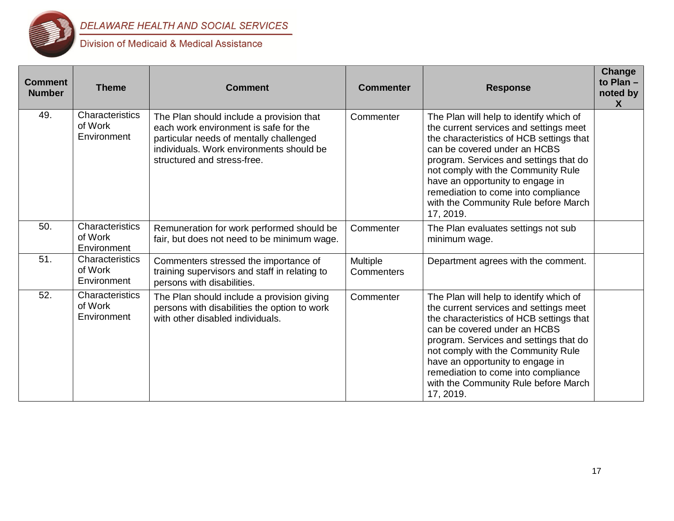

| <b>Comment</b><br><b>Number</b> | <b>Theme</b>                              | <b>Comment</b>                                                                                                                                                                                          | <b>Commenter</b>       | <b>Response</b>                                                                                                                                                                                                                                                                                                                                                               | Change<br>to Plan -<br>noted by<br>$\boldsymbol{X}$ |
|---------------------------------|-------------------------------------------|---------------------------------------------------------------------------------------------------------------------------------------------------------------------------------------------------------|------------------------|-------------------------------------------------------------------------------------------------------------------------------------------------------------------------------------------------------------------------------------------------------------------------------------------------------------------------------------------------------------------------------|-----------------------------------------------------|
| 49.                             | Characteristics<br>of Work<br>Environment | The Plan should include a provision that<br>each work environment is safe for the<br>particular needs of mentally challenged<br>individuals. Work environments should be<br>structured and stress-free. | Commenter              | The Plan will help to identify which of<br>the current services and settings meet<br>the characteristics of HCB settings that<br>can be covered under an HCBS<br>program. Services and settings that do<br>not comply with the Community Rule<br>have an opportunity to engage in<br>remediation to come into compliance<br>with the Community Rule before March<br>17, 2019. |                                                     |
| 50.                             | Characteristics<br>of Work<br>Environment | Remuneration for work performed should be<br>fair, but does not need to be minimum wage.                                                                                                                | Commenter              | The Plan evaluates settings not sub<br>minimum wage.                                                                                                                                                                                                                                                                                                                          |                                                     |
| 51.                             | Characteristics<br>of Work<br>Environment | Commenters stressed the importance of<br>training supervisors and staff in relating to<br>persons with disabilities.                                                                                    | Multiple<br>Commenters | Department agrees with the comment.                                                                                                                                                                                                                                                                                                                                           |                                                     |
| 52.                             | Characteristics<br>of Work<br>Environment | The Plan should include a provision giving<br>persons with disabilities the option to work<br>with other disabled individuals.                                                                          | Commenter              | The Plan will help to identify which of<br>the current services and settings meet<br>the characteristics of HCB settings that<br>can be covered under an HCBS<br>program. Services and settings that do<br>not comply with the Community Rule<br>have an opportunity to engage in<br>remediation to come into compliance<br>with the Community Rule before March<br>17, 2019. |                                                     |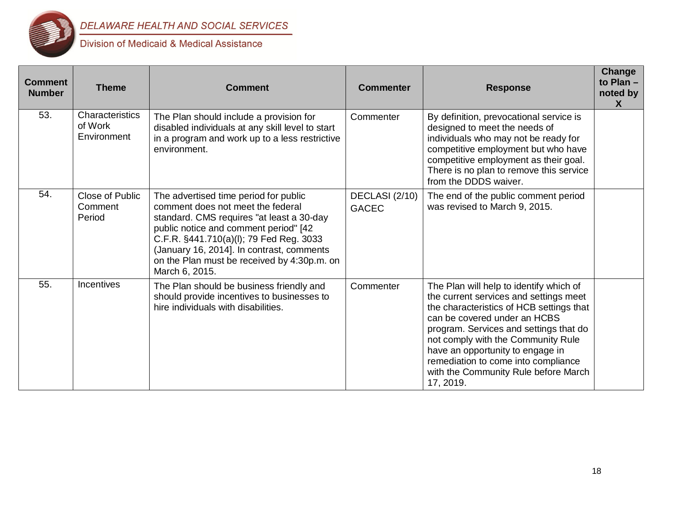

| <b>Comment</b><br><b>Number</b> | <b>Theme</b>                              | <b>Comment</b>                                                                                                                                                                                                                                                                                                            | <b>Commenter</b>               | <b>Response</b>                                                                                                                                                                                                                                                                                                                                                               | Change<br>to Plan -<br>noted by<br>$\boldsymbol{X}$ |
|---------------------------------|-------------------------------------------|---------------------------------------------------------------------------------------------------------------------------------------------------------------------------------------------------------------------------------------------------------------------------------------------------------------------------|--------------------------------|-------------------------------------------------------------------------------------------------------------------------------------------------------------------------------------------------------------------------------------------------------------------------------------------------------------------------------------------------------------------------------|-----------------------------------------------------|
| 53.                             | Characteristics<br>of Work<br>Environment | The Plan should include a provision for<br>disabled individuals at any skill level to start<br>in a program and work up to a less restrictive<br>environment.                                                                                                                                                             | Commenter                      | By definition, prevocational service is<br>designed to meet the needs of<br>individuals who may not be ready for<br>competitive employment but who have<br>competitive employment as their goal.<br>There is no plan to remove this service<br>from the DDDS waiver.                                                                                                          |                                                     |
| 54.                             | Close of Public<br>Comment<br>Period      | The advertised time period for public<br>comment does not meet the federal<br>standard. CMS requires "at least a 30-day<br>public notice and comment period" [42<br>C.F.R. §441.710(a)(l); 79 Fed Reg. 3033<br>(January 16, 2014]. In contrast, comments<br>on the Plan must be received by 4:30p.m. on<br>March 6, 2015. | DECLASI (2/10)<br><b>GACEC</b> | The end of the public comment period<br>was revised to March 9, 2015.                                                                                                                                                                                                                                                                                                         |                                                     |
| 55.                             | <b>Incentives</b>                         | The Plan should be business friendly and<br>should provide incentives to businesses to<br>hire individuals with disabilities.                                                                                                                                                                                             | Commenter                      | The Plan will help to identify which of<br>the current services and settings meet<br>the characteristics of HCB settings that<br>can be covered under an HCBS<br>program. Services and settings that do<br>not comply with the Community Rule<br>have an opportunity to engage in<br>remediation to come into compliance<br>with the Community Rule before March<br>17, 2019. |                                                     |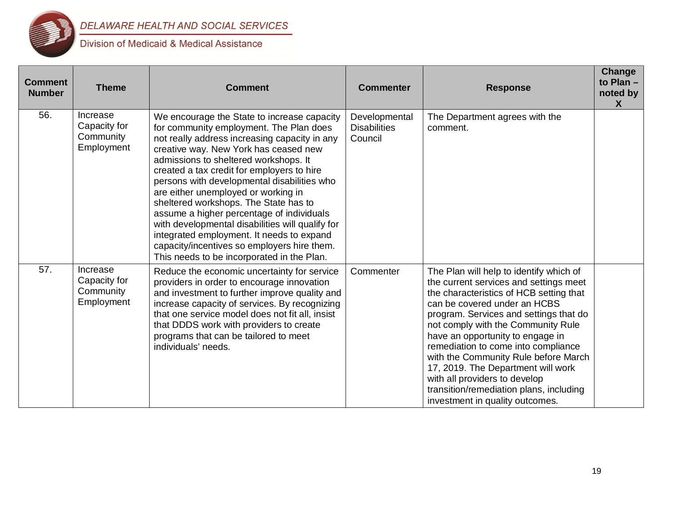

| <b>Comment</b><br><b>Number</b> | <b>Theme</b>                                        | <b>Comment</b>                                                                                                                                                                                                                                                                                                                                                                                                                                                                                                                                                                                                                                    | <b>Commenter</b>                                | <b>Response</b>                                                                                                                                                                                                                                                                                                                                                                                                                                                                                                      | Change<br>to Plan $-$<br>noted by<br>X |
|---------------------------------|-----------------------------------------------------|---------------------------------------------------------------------------------------------------------------------------------------------------------------------------------------------------------------------------------------------------------------------------------------------------------------------------------------------------------------------------------------------------------------------------------------------------------------------------------------------------------------------------------------------------------------------------------------------------------------------------------------------------|-------------------------------------------------|----------------------------------------------------------------------------------------------------------------------------------------------------------------------------------------------------------------------------------------------------------------------------------------------------------------------------------------------------------------------------------------------------------------------------------------------------------------------------------------------------------------------|----------------------------------------|
| 56.                             | Increase<br>Capacity for<br>Community<br>Employment | We encourage the State to increase capacity<br>for community employment. The Plan does<br>not really address increasing capacity in any<br>creative way. New York has ceased new<br>admissions to sheltered workshops. It<br>created a tax credit for employers to hire<br>persons with developmental disabilities who<br>are either unemployed or working in<br>sheltered workshops. The State has to<br>assume a higher percentage of individuals<br>with developmental disabilities will qualify for<br>integrated employment. It needs to expand<br>capacity/incentives so employers hire them.<br>This needs to be incorporated in the Plan. | Developmental<br><b>Disabilities</b><br>Council | The Department agrees with the<br>comment.                                                                                                                                                                                                                                                                                                                                                                                                                                                                           |                                        |
| 57.                             | Increase<br>Capacity for<br>Community<br>Employment | Reduce the economic uncertainty for service<br>providers in order to encourage innovation<br>and investment to further improve quality and<br>increase capacity of services. By recognizing<br>that one service model does not fit all, insist<br>that DDDS work with providers to create<br>programs that can be tailored to meet<br>individuals' needs.                                                                                                                                                                                                                                                                                         | Commenter                                       | The Plan will help to identify which of<br>the current services and settings meet<br>the characteristics of HCB setting that<br>can be covered under an HCBS<br>program. Services and settings that do<br>not comply with the Community Rule<br>have an opportunity to engage in<br>remediation to come into compliance<br>with the Community Rule before March<br>17, 2019. The Department will work<br>with all providers to develop<br>transition/remediation plans, including<br>investment in quality outcomes. |                                        |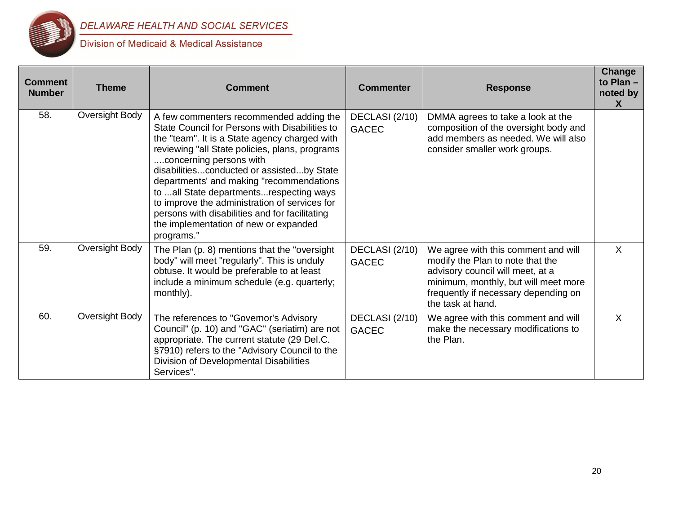

| <b>Comment</b><br><b>Number</b> | <b>Theme</b>   | <b>Comment</b>                                                                                                                                                                                                                                                                                                                                                                                                                                                                                                        | <b>Commenter</b>               | <b>Response</b>                                                                                                                                                                                                  | <b>Change</b><br>to Plan $-$<br>noted by<br>X |
|---------------------------------|----------------|-----------------------------------------------------------------------------------------------------------------------------------------------------------------------------------------------------------------------------------------------------------------------------------------------------------------------------------------------------------------------------------------------------------------------------------------------------------------------------------------------------------------------|--------------------------------|------------------------------------------------------------------------------------------------------------------------------------------------------------------------------------------------------------------|-----------------------------------------------|
| 58.                             | Oversight Body | A few commenters recommended adding the<br>State Council for Persons with Disabilities to<br>the "team". It is a State agency charged with<br>reviewing "all State policies, plans, programs<br>concerning persons with<br>disabilitiesconducted or assistedby State<br>departments' and making "recommendations<br>to all State departmentsrespecting ways<br>to improve the administration of services for<br>persons with disabilities and for facilitating<br>the implementation of new or expanded<br>programs." | DECLASI (2/10)<br><b>GACEC</b> | DMMA agrees to take a look at the<br>composition of the oversight body and<br>add members as needed. We will also<br>consider smaller work groups.                                                               |                                               |
| 59.                             | Oversight Body | The Plan (p. 8) mentions that the "oversight<br>body" will meet "regularly". This is unduly<br>obtuse. It would be preferable to at least<br>include a minimum schedule (e.g. quarterly;<br>monthly).                                                                                                                                                                                                                                                                                                                 | DECLASI (2/10)<br><b>GACEC</b> | We agree with this comment and will<br>modify the Plan to note that the<br>advisory council will meet, at a<br>minimum, monthly, but will meet more<br>frequently if necessary depending on<br>the task at hand. | $\times$                                      |
| 60.                             | Oversight Body | The references to "Governor's Advisory<br>Council" (p. 10) and "GAC" (seriatim) are not<br>appropriate. The current statute (29 Del.C.<br>§7910) refers to the "Advisory Council to the<br>Division of Developmental Disabilities<br>Services".                                                                                                                                                                                                                                                                       | DECLASI (2/10)<br><b>GACEC</b> | We agree with this comment and will<br>make the necessary modifications to<br>the Plan.                                                                                                                          | $\sf X$                                       |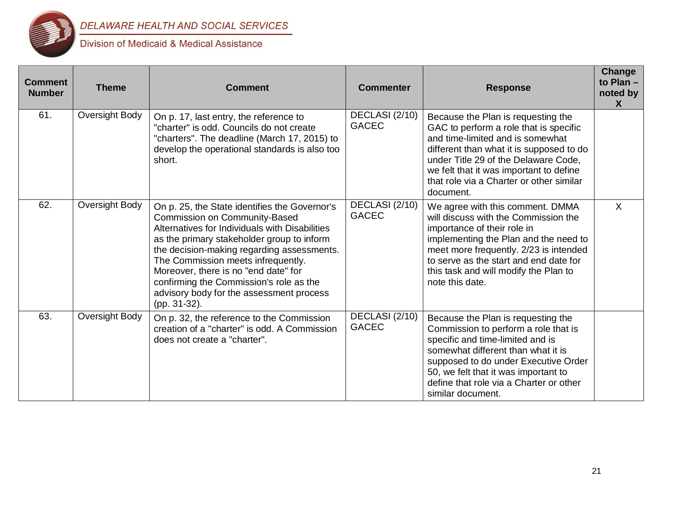

| <b>Comment</b><br><b>Number</b> | <b>Theme</b>   | <b>Comment</b>                                                                                                                                                                                                                                                                                                                                                                                                    | <b>Commenter</b>               | <b>Response</b>                                                                                                                                                                                                                                                                                          | Change<br>to Plan $-$<br>noted by<br>X |
|---------------------------------|----------------|-------------------------------------------------------------------------------------------------------------------------------------------------------------------------------------------------------------------------------------------------------------------------------------------------------------------------------------------------------------------------------------------------------------------|--------------------------------|----------------------------------------------------------------------------------------------------------------------------------------------------------------------------------------------------------------------------------------------------------------------------------------------------------|----------------------------------------|
| 61.                             | Oversight Body | On p. 17, last entry, the reference to<br>"charter" is odd. Councils do not create<br>"charters". The deadline (March 17, 2015) to<br>develop the operational standards is also too<br>short.                                                                                                                                                                                                                     | DECLASI (2/10)<br><b>GACEC</b> | Because the Plan is requesting the<br>GAC to perform a role that is specific<br>and time-limited and is somewhat<br>different than what it is supposed to do<br>under Title 29 of the Delaware Code,<br>we felt that it was important to define<br>that role via a Charter or other similar<br>document. |                                        |
| 62.                             | Oversight Body | On p. 25, the State identifies the Governor's<br>Commission on Community-Based<br>Alternatives for Individuals with Disabilities<br>as the primary stakeholder group to inform<br>the decision-making regarding assessments.<br>The Commission meets infrequently.<br>Moreover, there is no "end date" for<br>confirming the Commission's role as the<br>advisory body for the assessment process<br>(pp. 31-32). | DECLASI (2/10)<br><b>GACEC</b> | We agree with this comment. DMMA<br>will discuss with the Commission the<br>importance of their role in<br>implementing the Plan and the need to<br>meet more frequently. 2/23 is intended<br>to serve as the start and end date for<br>this task and will modify the Plan to<br>note this date.         | $\mathsf{X}$                           |
| 63.                             | Oversight Body | On p. 32, the reference to the Commission<br>creation of a "charter" is odd. A Commission<br>does not create a "charter".                                                                                                                                                                                                                                                                                         | DECLASI (2/10)<br><b>GACEC</b> | Because the Plan is requesting the<br>Commission to perform a role that is<br>specific and time-limited and is<br>somewhat different than what it is<br>supposed to do under Executive Order<br>50, we felt that it was important to<br>define that role via a Charter or other<br>similar document.     |                                        |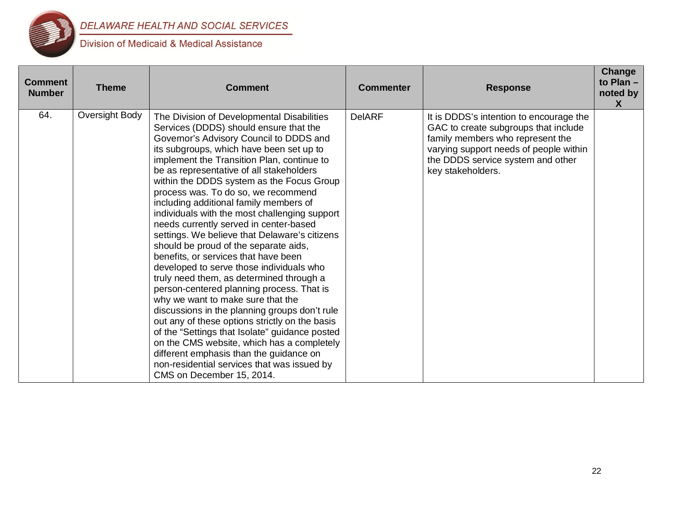

| <b>Comment</b><br><b>Number</b> | <b>Theme</b>   | Comment                                                                                                                                                                                                                                                                                                                                                                                                                                                                                                                                                                                                                                                                                                                                                                                                                                                                                                                                                                                                                                                                                                                              | <b>Commenter</b> | <b>Response</b>                                                                                                                                                                                                         | <b>Change</b><br>to Plan -<br>noted by<br>$\mathsf{X}$ |
|---------------------------------|----------------|--------------------------------------------------------------------------------------------------------------------------------------------------------------------------------------------------------------------------------------------------------------------------------------------------------------------------------------------------------------------------------------------------------------------------------------------------------------------------------------------------------------------------------------------------------------------------------------------------------------------------------------------------------------------------------------------------------------------------------------------------------------------------------------------------------------------------------------------------------------------------------------------------------------------------------------------------------------------------------------------------------------------------------------------------------------------------------------------------------------------------------------|------------------|-------------------------------------------------------------------------------------------------------------------------------------------------------------------------------------------------------------------------|--------------------------------------------------------|
| 64.                             | Oversight Body | The Division of Developmental Disabilities<br>Services (DDDS) should ensure that the<br>Governor's Advisory Council to DDDS and<br>its subgroups, which have been set up to<br>implement the Transition Plan, continue to<br>be as representative of all stakeholders<br>within the DDDS system as the Focus Group<br>process was. To do so, we recommend<br>including additional family members of<br>individuals with the most challenging support<br>needs currently served in center-based<br>settings. We believe that Delaware's citizens<br>should be proud of the separate aids,<br>benefits, or services that have been<br>developed to serve those individuals who<br>truly need them, as determined through a<br>person-centered planning process. That is<br>why we want to make sure that the<br>discussions in the planning groups don't rule<br>out any of these options strictly on the basis<br>of the "Settings that Isolate" guidance posted<br>on the CMS website, which has a completely<br>different emphasis than the guidance on<br>non-residential services that was issued by<br>CMS on December 15, 2014. | <b>DelARF</b>    | It is DDDS's intention to encourage the<br>GAC to create subgroups that include<br>family members who represent the<br>varying support needs of people within<br>the DDDS service system and other<br>key stakeholders. |                                                        |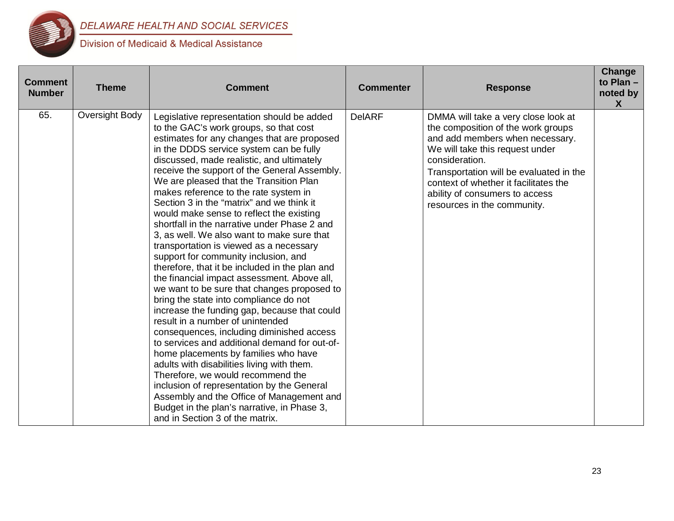

| <b>Comment</b><br><b>Number</b> | <b>Theme</b>   | <b>Comment</b>                                                                                                                                                                                                                                                                                                                                                                                                                                                                                                                                                                                                                                                                                                                                                                                                                                                                                                                                                                                                                                                                                                                                                                                                                                                                                                                | <b>Commenter</b> | <b>Response</b>                                                                                                                                                                                                                                                                                                        | Change<br>to Plan -<br>noted by<br>$\mathsf{X}$ |
|---------------------------------|----------------|-------------------------------------------------------------------------------------------------------------------------------------------------------------------------------------------------------------------------------------------------------------------------------------------------------------------------------------------------------------------------------------------------------------------------------------------------------------------------------------------------------------------------------------------------------------------------------------------------------------------------------------------------------------------------------------------------------------------------------------------------------------------------------------------------------------------------------------------------------------------------------------------------------------------------------------------------------------------------------------------------------------------------------------------------------------------------------------------------------------------------------------------------------------------------------------------------------------------------------------------------------------------------------------------------------------------------------|------------------|------------------------------------------------------------------------------------------------------------------------------------------------------------------------------------------------------------------------------------------------------------------------------------------------------------------------|-------------------------------------------------|
| 65.                             | Oversight Body | Legislative representation should be added<br>to the GAC's work groups, so that cost<br>estimates for any changes that are proposed<br>in the DDDS service system can be fully<br>discussed, made realistic, and ultimately<br>receive the support of the General Assembly.<br>We are pleased that the Transition Plan<br>makes reference to the rate system in<br>Section 3 in the "matrix" and we think it<br>would make sense to reflect the existing<br>shortfall in the narrative under Phase 2 and<br>3, as well. We also want to make sure that<br>transportation is viewed as a necessary<br>support for community inclusion, and<br>therefore, that it be included in the plan and<br>the financial impact assessment. Above all,<br>we want to be sure that changes proposed to<br>bring the state into compliance do not<br>increase the funding gap, because that could<br>result in a number of unintended<br>consequences, including diminished access<br>to services and additional demand for out-of-<br>home placements by families who have<br>adults with disabilities living with them.<br>Therefore, we would recommend the<br>inclusion of representation by the General<br>Assembly and the Office of Management and<br>Budget in the plan's narrative, in Phase 3,<br>and in Section 3 of the matrix. | <b>DelARF</b>    | DMMA will take a very close look at<br>the composition of the work groups<br>and add members when necessary.<br>We will take this request under<br>consideration.<br>Transportation will be evaluated in the<br>context of whether it facilitates the<br>ability of consumers to access<br>resources in the community. |                                                 |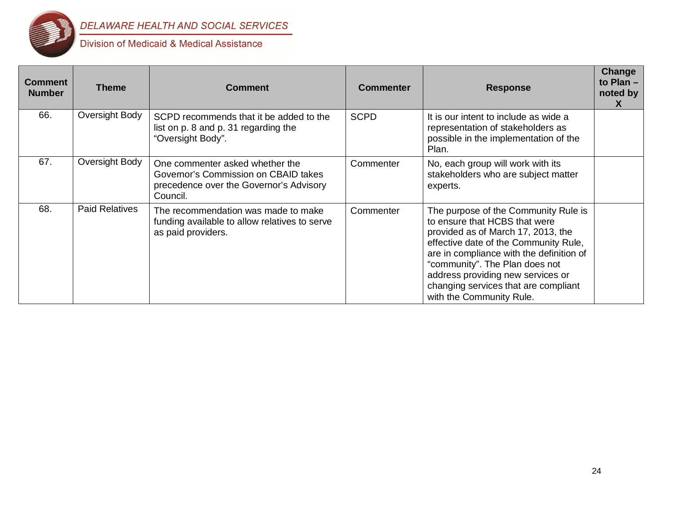

| <b>Comment</b><br><b>Number</b> | <b>Theme</b>          | <b>Comment</b>                                                                                                                 | <b>Commenter</b> | <b>Response</b>                                                                                                                                                                                                                                                                                                                             | Change<br>to Plan $-$<br>noted by<br>X |
|---------------------------------|-----------------------|--------------------------------------------------------------------------------------------------------------------------------|------------------|---------------------------------------------------------------------------------------------------------------------------------------------------------------------------------------------------------------------------------------------------------------------------------------------------------------------------------------------|----------------------------------------|
| 66.                             | Oversight Body        | SCPD recommends that it be added to the<br>list on p. 8 and p. 31 regarding the<br>"Oversight Body".                           | <b>SCPD</b>      | It is our intent to include as wide a<br>representation of stakeholders as<br>possible in the implementation of the<br>Plan.                                                                                                                                                                                                                |                                        |
| 67.                             | Oversight Body        | One commenter asked whether the<br>Governor's Commission on CBAID takes<br>precedence over the Governor's Advisory<br>Council. | Commenter        | No, each group will work with its<br>stakeholders who are subject matter<br>experts.                                                                                                                                                                                                                                                        |                                        |
| 68.                             | <b>Paid Relatives</b> | The recommendation was made to make<br>funding available to allow relatives to serve<br>as paid providers.                     | Commenter        | The purpose of the Community Rule is<br>to ensure that HCBS that were<br>provided as of March 17, 2013, the<br>effective date of the Community Rule,<br>are in compliance with the definition of<br>"community". The Plan does not<br>address providing new services or<br>changing services that are compliant<br>with the Community Rule. |                                        |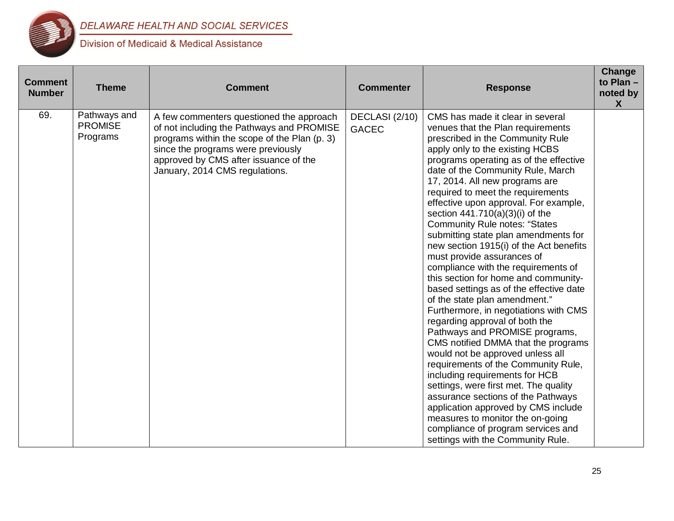

| <b>Comment</b><br><b>Number</b> | <b>Theme</b>                               | <b>Comment</b>                                                                                                                                                                                                                                         | <b>Commenter</b>               | <b>Response</b>                                                                                                                                                                                                                                                                                                                                                                                                                                                                                                                                                                                                                                                                                                                                                                                                                                                                                                                                                                                                                                                                                                                                                                                          | Change<br>to Plan-<br>noted by<br>X |
|---------------------------------|--------------------------------------------|--------------------------------------------------------------------------------------------------------------------------------------------------------------------------------------------------------------------------------------------------------|--------------------------------|----------------------------------------------------------------------------------------------------------------------------------------------------------------------------------------------------------------------------------------------------------------------------------------------------------------------------------------------------------------------------------------------------------------------------------------------------------------------------------------------------------------------------------------------------------------------------------------------------------------------------------------------------------------------------------------------------------------------------------------------------------------------------------------------------------------------------------------------------------------------------------------------------------------------------------------------------------------------------------------------------------------------------------------------------------------------------------------------------------------------------------------------------------------------------------------------------------|-------------------------------------|
| 69.                             | Pathways and<br><b>PROMISE</b><br>Programs | A few commenters questioned the approach<br>of not including the Pathways and PROMISE<br>programs within the scope of the Plan (p. 3)<br>since the programs were previously<br>approved by CMS after issuance of the<br>January, 2014 CMS regulations. | DECLASI (2/10)<br><b>GACEC</b> | CMS has made it clear in several<br>venues that the Plan requirements<br>prescribed in the Community Rule<br>apply only to the existing HCBS<br>programs operating as of the effective<br>date of the Community Rule, March<br>17, 2014. All new programs are<br>required to meet the requirements<br>effective upon approval. For example,<br>section 441.710(a)(3)(i) of the<br><b>Community Rule notes: "States</b><br>submitting state plan amendments for<br>new section 1915(i) of the Act benefits<br>must provide assurances of<br>compliance with the requirements of<br>this section for home and community-<br>based settings as of the effective date<br>of the state plan amendment."<br>Furthermore, in negotiations with CMS<br>regarding approval of both the<br>Pathways and PROMISE programs,<br>CMS notified DMMA that the programs<br>would not be approved unless all<br>requirements of the Community Rule,<br>including requirements for HCB<br>settings, were first met. The quality<br>assurance sections of the Pathways<br>application approved by CMS include<br>measures to monitor the on-going<br>compliance of program services and<br>settings with the Community Rule. |                                     |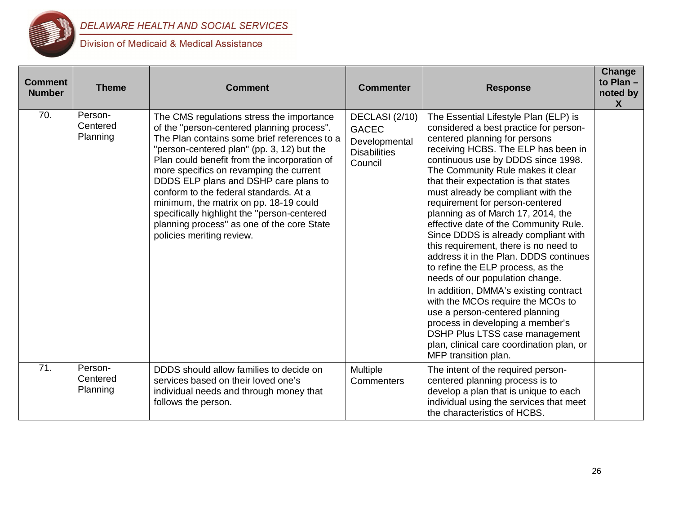

| <b>Comment</b><br><b>Number</b> | <b>Theme</b>                    | <b>Comment</b>                                                                                                                                                                                                                                                                                                                                                                                                                                                                                                                          | <b>Commenter</b>                                                                  | <b>Response</b>                                                                                                                                                                                                                                                                                                                                                                                                                                                                                                                                                                                                                                                                                                                                                                                                                                                                                   | Change<br>to Plan -<br>noted by<br>$\boldsymbol{X}$ |
|---------------------------------|---------------------------------|-----------------------------------------------------------------------------------------------------------------------------------------------------------------------------------------------------------------------------------------------------------------------------------------------------------------------------------------------------------------------------------------------------------------------------------------------------------------------------------------------------------------------------------------|-----------------------------------------------------------------------------------|---------------------------------------------------------------------------------------------------------------------------------------------------------------------------------------------------------------------------------------------------------------------------------------------------------------------------------------------------------------------------------------------------------------------------------------------------------------------------------------------------------------------------------------------------------------------------------------------------------------------------------------------------------------------------------------------------------------------------------------------------------------------------------------------------------------------------------------------------------------------------------------------------|-----------------------------------------------------|
| 70.                             | Person-<br>Centered<br>Planning | The CMS regulations stress the importance<br>of the "person-centered planning process".<br>The Plan contains some brief references to a<br>"person-centered plan" (pp. 3, 12) but the<br>Plan could benefit from the incorporation of<br>more specifics on revamping the current<br>DDDS ELP plans and DSHP care plans to<br>conform to the federal standards. At a<br>minimum, the matrix on pp. 18-19 could<br>specifically highlight the "person-centered<br>planning process" as one of the core State<br>policies meriting review. | DECLASI (2/10)<br><b>GACEC</b><br>Developmental<br><b>Disabilities</b><br>Council | The Essential Lifestyle Plan (ELP) is<br>considered a best practice for person-<br>centered planning for persons<br>receiving HCBS. The ELP has been in<br>continuous use by DDDS since 1998.<br>The Community Rule makes it clear<br>that their expectation is that states<br>must already be compliant with the<br>requirement for person-centered<br>planning as of March 17, 2014, the<br>effective date of the Community Rule.<br>Since DDDS is already compliant with<br>this requirement, there is no need to<br>address it in the Plan. DDDS continues<br>to refine the ELP process, as the<br>needs of our population change.<br>In addition, DMMA's existing contract<br>with the MCOs require the MCOs to<br>use a person-centered planning<br>process in developing a member's<br>DSHP Plus LTSS case management<br>plan, clinical care coordination plan, or<br>MFP transition plan. |                                                     |
| 71.                             | Person-<br>Centered<br>Planning | DDDS should allow families to decide on<br>services based on their loved one's<br>individual needs and through money that<br>follows the person.                                                                                                                                                                                                                                                                                                                                                                                        | Multiple<br>Commenters                                                            | The intent of the required person-<br>centered planning process is to<br>develop a plan that is unique to each<br>individual using the services that meet<br>the characteristics of HCBS.                                                                                                                                                                                                                                                                                                                                                                                                                                                                                                                                                                                                                                                                                                         |                                                     |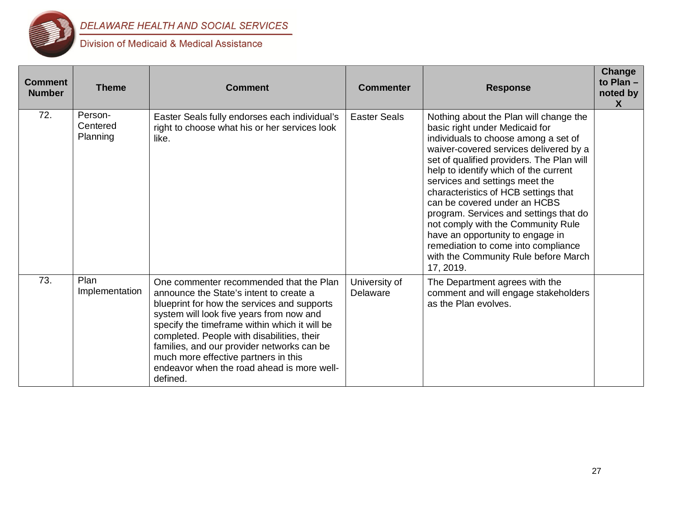

| <b>Comment</b><br><b>Number</b> | <b>Theme</b>                    | Comment                                                                                                                                                                                                                                                                                                                                                                                                                      | <b>Commenter</b>          | <b>Response</b>                                                                                                                                                                                                                                                                                                                                                                                                                                                                                                                                                            | Change<br>to Plan $-$<br>noted by<br>$\boldsymbol{\mathsf{X}}$ |
|---------------------------------|---------------------------------|------------------------------------------------------------------------------------------------------------------------------------------------------------------------------------------------------------------------------------------------------------------------------------------------------------------------------------------------------------------------------------------------------------------------------|---------------------------|----------------------------------------------------------------------------------------------------------------------------------------------------------------------------------------------------------------------------------------------------------------------------------------------------------------------------------------------------------------------------------------------------------------------------------------------------------------------------------------------------------------------------------------------------------------------------|----------------------------------------------------------------|
| 72.                             | Person-<br>Centered<br>Planning | Easter Seals fully endorses each individual's<br>right to choose what his or her services look<br>like.                                                                                                                                                                                                                                                                                                                      | <b>Easter Seals</b>       | Nothing about the Plan will change the<br>basic right under Medicaid for<br>individuals to choose among a set of<br>waiver-covered services delivered by a<br>set of qualified providers. The Plan will<br>help to identify which of the current<br>services and settings meet the<br>characteristics of HCB settings that<br>can be covered under an HCBS<br>program. Services and settings that do<br>not comply with the Community Rule<br>have an opportunity to engage in<br>remediation to come into compliance<br>with the Community Rule before March<br>17, 2019. |                                                                |
| 73.                             | Plan<br>Implementation          | One commenter recommended that the Plan<br>announce the State's intent to create a<br>blueprint for how the services and supports<br>system will look five years from now and<br>specify the timeframe within which it will be<br>completed. People with disabilities, their<br>families, and our provider networks can be<br>much more effective partners in this<br>endeavor when the road ahead is more well-<br>defined. | University of<br>Delaware | The Department agrees with the<br>comment and will engage stakeholders<br>as the Plan evolves.                                                                                                                                                                                                                                                                                                                                                                                                                                                                             |                                                                |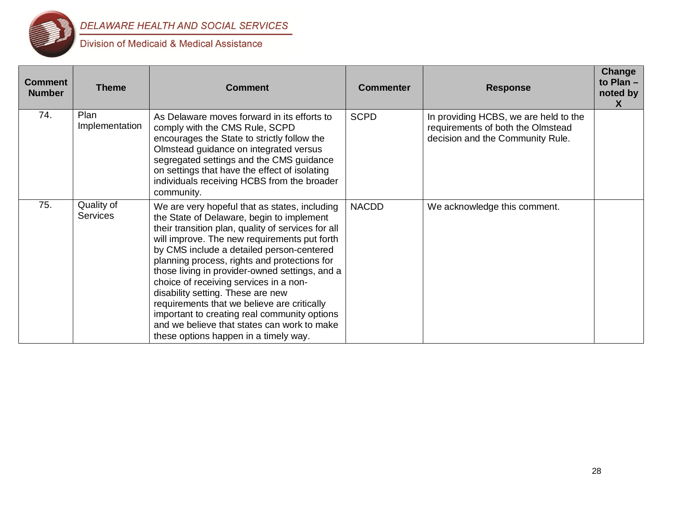

| <b>Comment</b><br><b>Number</b> | <b>Theme</b>                  | <b>Comment</b>                                                                                                                                                                                                                                                                                                                                                                                                                                                                                                                                                                                                        | <b>Commenter</b> | <b>Response</b>                                                                                                | Change<br>to $Plan -$<br>noted by<br>X |
|---------------------------------|-------------------------------|-----------------------------------------------------------------------------------------------------------------------------------------------------------------------------------------------------------------------------------------------------------------------------------------------------------------------------------------------------------------------------------------------------------------------------------------------------------------------------------------------------------------------------------------------------------------------------------------------------------------------|------------------|----------------------------------------------------------------------------------------------------------------|----------------------------------------|
| 74.                             | Plan<br>Implementation        | As Delaware moves forward in its efforts to<br>comply with the CMS Rule, SCPD<br>encourages the State to strictly follow the<br>Olmstead guidance on integrated versus<br>segregated settings and the CMS guidance<br>on settings that have the effect of isolating<br>individuals receiving HCBS from the broader<br>community.                                                                                                                                                                                                                                                                                      | <b>SCPD</b>      | In providing HCBS, we are held to the<br>requirements of both the Olmstead<br>decision and the Community Rule. |                                        |
| 75.                             | Quality of<br><b>Services</b> | We are very hopeful that as states, including<br>the State of Delaware, begin to implement<br>their transition plan, quality of services for all<br>will improve. The new requirements put forth<br>by CMS include a detailed person-centered<br>planning process, rights and protections for<br>those living in provider-owned settings, and a<br>choice of receiving services in a non-<br>disability setting. These are new<br>requirements that we believe are critically<br>important to creating real community options<br>and we believe that states can work to make<br>these options happen in a timely way. | <b>NACDD</b>     | We acknowledge this comment.                                                                                   |                                        |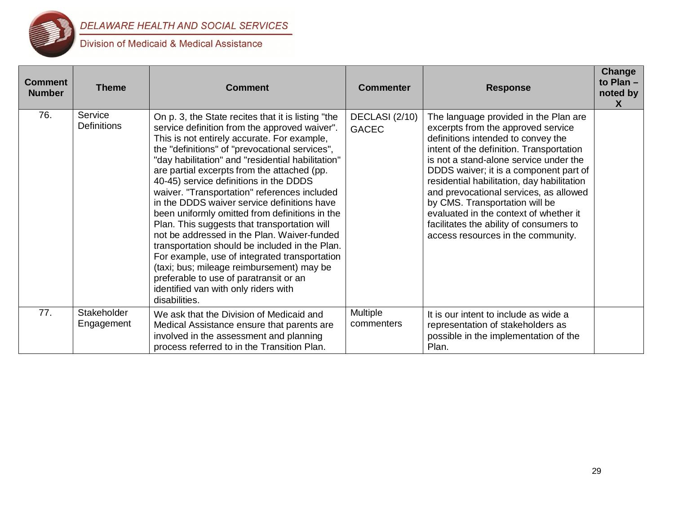

| <b>Comment</b><br><b>Number</b> | <b>Theme</b>                  | Comment                                                                                                                                                                                                                                                                                                                                                                                                                                                                                                                                                                                                                                                                                                                                                                                                                                               | <b>Commenter</b>               | <b>Response</b>                                                                                                                                                                                                                                                                                                                                                                                                                                                                                        | Change<br>to Plan $-$<br>noted by<br>$\boldsymbol{X}$ |
|---------------------------------|-------------------------------|-------------------------------------------------------------------------------------------------------------------------------------------------------------------------------------------------------------------------------------------------------------------------------------------------------------------------------------------------------------------------------------------------------------------------------------------------------------------------------------------------------------------------------------------------------------------------------------------------------------------------------------------------------------------------------------------------------------------------------------------------------------------------------------------------------------------------------------------------------|--------------------------------|--------------------------------------------------------------------------------------------------------------------------------------------------------------------------------------------------------------------------------------------------------------------------------------------------------------------------------------------------------------------------------------------------------------------------------------------------------------------------------------------------------|-------------------------------------------------------|
| 76.                             | Service<br><b>Definitions</b> | On p. 3, the State recites that it is listing "the<br>service definition from the approved waiver".<br>This is not entirely accurate. For example,<br>the "definitions" of "prevocational services",<br>"day habilitation" and "residential habilitation"<br>are partial excerpts from the attached (pp.<br>40-45) service definitions in the DDDS<br>waiver. "Transportation" references included<br>in the DDDS waiver service definitions have<br>been uniformly omitted from definitions in the<br>Plan. This suggests that transportation will<br>not be addressed in the Plan. Waiver-funded<br>transportation should be included in the Plan.<br>For example, use of integrated transportation<br>(taxi; bus; mileage reimbursement) may be<br>preferable to use of paratransit or an<br>identified van with only riders with<br>disabilities. | DECLASI (2/10)<br><b>GACEC</b> | The language provided in the Plan are<br>excerpts from the approved service<br>definitions intended to convey the<br>intent of the definition. Transportation<br>is not a stand-alone service under the<br>DDDS waiver; it is a component part of<br>residential habilitation, day habilitation<br>and prevocational services, as allowed<br>by CMS. Transportation will be<br>evaluated in the context of whether it<br>facilitates the ability of consumers to<br>access resources in the community. |                                                       |
| 77.                             | Stakeholder<br>Engagement     | We ask that the Division of Medicaid and<br>Medical Assistance ensure that parents are<br>involved in the assessment and planning<br>process referred to in the Transition Plan.                                                                                                                                                                                                                                                                                                                                                                                                                                                                                                                                                                                                                                                                      | Multiple<br>commenters         | It is our intent to include as wide a<br>representation of stakeholders as<br>possible in the implementation of the<br>Plan.                                                                                                                                                                                                                                                                                                                                                                           |                                                       |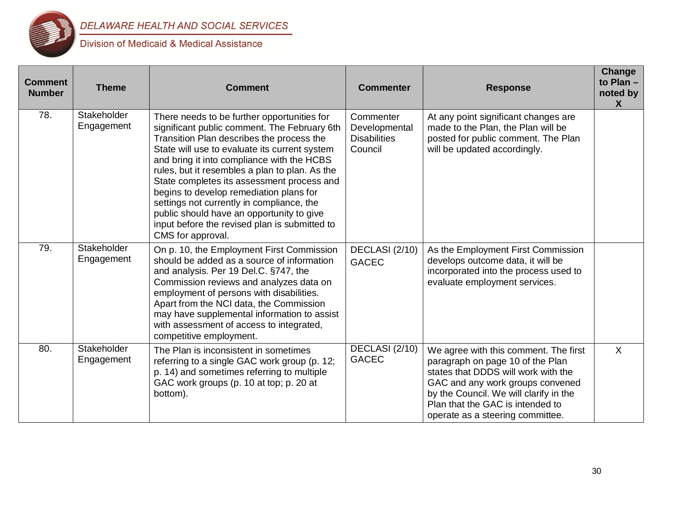

| <b>Comment</b><br><b>Number</b> | <b>Theme</b>              | <b>Comment</b>                                                                                                                                                                                                                                                                                                                                                                                                                                                                                                                                     | <b>Commenter</b>                                             | <b>Response</b>                                                                                                                                                                                                                                                        | Change<br>to Plan -<br>noted by<br>$\boldsymbol{X}$ |
|---------------------------------|---------------------------|----------------------------------------------------------------------------------------------------------------------------------------------------------------------------------------------------------------------------------------------------------------------------------------------------------------------------------------------------------------------------------------------------------------------------------------------------------------------------------------------------------------------------------------------------|--------------------------------------------------------------|------------------------------------------------------------------------------------------------------------------------------------------------------------------------------------------------------------------------------------------------------------------------|-----------------------------------------------------|
| 78.                             | Stakeholder<br>Engagement | There needs to be further opportunities for<br>significant public comment. The February 6th<br>Transition Plan describes the process the<br>State will use to evaluate its current system<br>and bring it into compliance with the HCBS<br>rules, but it resembles a plan to plan. As the<br>State completes its assessment process and<br>begins to develop remediation plans for<br>settings not currently in compliance, the<br>public should have an opportunity to give<br>input before the revised plan is submitted to<br>CMS for approval. | Commenter<br>Developmental<br><b>Disabilities</b><br>Council | At any point significant changes are<br>made to the Plan, the Plan will be<br>posted for public comment. The Plan<br>will be updated accordingly.                                                                                                                      |                                                     |
| 79.                             | Stakeholder<br>Engagement | On p. 10, the Employment First Commission<br>should be added as a source of information<br>and analysis. Per 19 Del.C. §747, the<br>Commission reviews and analyzes data on<br>employment of persons with disabilities.<br>Apart from the NCI data, the Commission<br>may have supplemental information to assist<br>with assessment of access to integrated,<br>competitive employment.                                                                                                                                                           | DECLASI (2/10)<br><b>GACEC</b>                               | As the Employment First Commission<br>develops outcome data, it will be<br>incorporated into the process used to<br>evaluate employment services.                                                                                                                      |                                                     |
| 80.                             | Stakeholder<br>Engagement | The Plan is inconsistent in sometimes<br>referring to a single GAC work group (p. 12;<br>p. 14) and sometimes referring to multiple<br>GAC work groups (p. 10 at top; p. 20 at<br>bottom).                                                                                                                                                                                                                                                                                                                                                         | DECLASI (2/10)<br><b>GACEC</b>                               | We agree with this comment. The first<br>paragraph on page 10 of the Plan<br>states that DDDS will work with the<br>GAC and any work groups convened<br>by the Council. We will clarify in the<br>Plan that the GAC is intended to<br>operate as a steering committee. | $\sf X$                                             |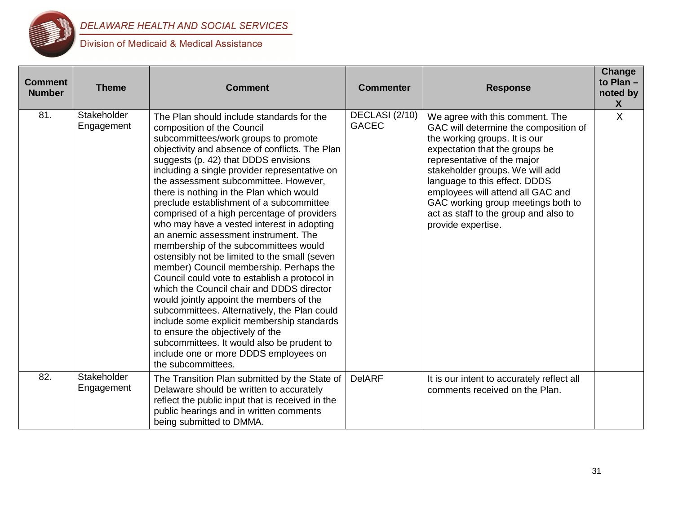

| <b>Comment</b><br><b>Number</b> | <b>Theme</b>              | <b>Comment</b>                                                                                                                                                                                                                                                                                                                                                                                                                                                                                                                                                                                                                                                                                                                                                                                                                                                                                                                                                                                                                                                 | <b>Commenter</b>               | <b>Response</b>                                                                                                                                                                                                                                                                                                                                                                          | Change<br>to Plan $-$<br>noted by<br>X |
|---------------------------------|---------------------------|----------------------------------------------------------------------------------------------------------------------------------------------------------------------------------------------------------------------------------------------------------------------------------------------------------------------------------------------------------------------------------------------------------------------------------------------------------------------------------------------------------------------------------------------------------------------------------------------------------------------------------------------------------------------------------------------------------------------------------------------------------------------------------------------------------------------------------------------------------------------------------------------------------------------------------------------------------------------------------------------------------------------------------------------------------------|--------------------------------|------------------------------------------------------------------------------------------------------------------------------------------------------------------------------------------------------------------------------------------------------------------------------------------------------------------------------------------------------------------------------------------|----------------------------------------|
| 81.                             | Stakeholder<br>Engagement | The Plan should include standards for the<br>composition of the Council<br>subcommittees/work groups to promote<br>objectivity and absence of conflicts. The Plan<br>suggests (p. 42) that DDDS envisions<br>including a single provider representative on<br>the assessment subcommittee. However,<br>there is nothing in the Plan which would<br>preclude establishment of a subcommittee<br>comprised of a high percentage of providers<br>who may have a vested interest in adopting<br>an anemic assessment instrument. The<br>membership of the subcommittees would<br>ostensibly not be limited to the small (seven<br>member) Council membership. Perhaps the<br>Council could vote to establish a protocol in<br>which the Council chair and DDDS director<br>would jointly appoint the members of the<br>subcommittees. Alternatively, the Plan could<br>include some explicit membership standards<br>to ensure the objectively of the<br>subcommittees. It would also be prudent to<br>include one or more DDDS employees on<br>the subcommittees. | DECLASI (2/10)<br><b>GACEC</b> | We agree with this comment. The<br>GAC will determine the composition of<br>the working groups. It is our<br>expectation that the groups be<br>representative of the major<br>stakeholder groups. We will add<br>language to this effect. DDDS<br>employees will attend all GAC and<br>GAC working group meetings both to<br>act as staff to the group and also to<br>provide expertise. | X                                      |
| 82.                             | Stakeholder<br>Engagement | The Transition Plan submitted by the State of<br>Delaware should be written to accurately<br>reflect the public input that is received in the<br>public hearings and in written comments<br>being submitted to DMMA.                                                                                                                                                                                                                                                                                                                                                                                                                                                                                                                                                                                                                                                                                                                                                                                                                                           | <b>DelARF</b>                  | It is our intent to accurately reflect all<br>comments received on the Plan.                                                                                                                                                                                                                                                                                                             |                                        |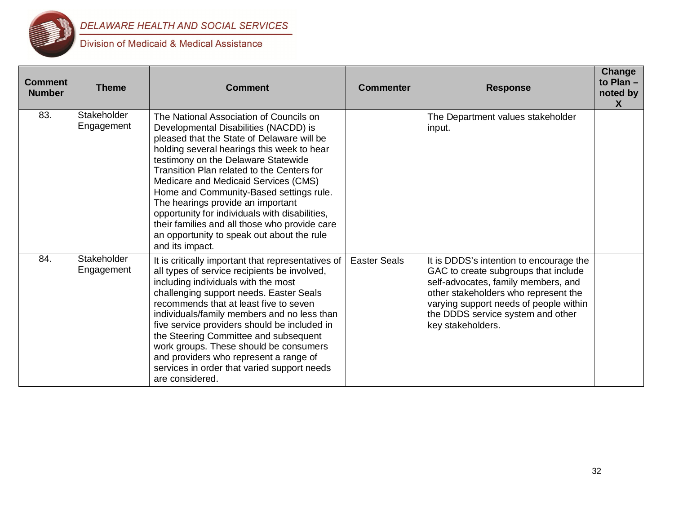

| <b>Comment</b><br><b>Number</b> | <b>Theme</b>              | <b>Comment</b>                                                                                                                                                                                                                                                                                                                                                                                                                                                                                                                                                | <b>Commenter</b>    | <b>Response</b>                                                                                                                                                                                                                                                    | <b>Change</b><br>to Plan $-$<br>noted by<br>$\boldsymbol{\mathsf{X}}$ |
|---------------------------------|---------------------------|---------------------------------------------------------------------------------------------------------------------------------------------------------------------------------------------------------------------------------------------------------------------------------------------------------------------------------------------------------------------------------------------------------------------------------------------------------------------------------------------------------------------------------------------------------------|---------------------|--------------------------------------------------------------------------------------------------------------------------------------------------------------------------------------------------------------------------------------------------------------------|-----------------------------------------------------------------------|
| 83.                             | Stakeholder<br>Engagement | The National Association of Councils on<br>Developmental Disabilities (NACDD) is<br>pleased that the State of Delaware will be<br>holding several hearings this week to hear<br>testimony on the Delaware Statewide<br>Transition Plan related to the Centers for<br>Medicare and Medicaid Services (CMS)<br>Home and Community-Based settings rule.<br>The hearings provide an important<br>opportunity for individuals with disabilities,<br>their families and all those who provide care<br>an opportunity to speak out about the rule<br>and its impact. |                     | The Department values stakeholder<br>input.                                                                                                                                                                                                                        |                                                                       |
| 84.                             | Stakeholder<br>Engagement | It is critically important that representatives of<br>all types of service recipients be involved,<br>including individuals with the most<br>challenging support needs. Easter Seals<br>recommends that at least five to seven<br>individuals/family members and no less than<br>five service providers should be included in<br>the Steering Committee and subsequent<br>work groups. These should be consumers<br>and providers who represent a range of<br>services in order that varied support needs<br>are considered.                                  | <b>Easter Seals</b> | It is DDDS's intention to encourage the<br>GAC to create subgroups that include<br>self-advocates, family members, and<br>other stakeholders who represent the<br>varying support needs of people within<br>the DDDS service system and other<br>key stakeholders. |                                                                       |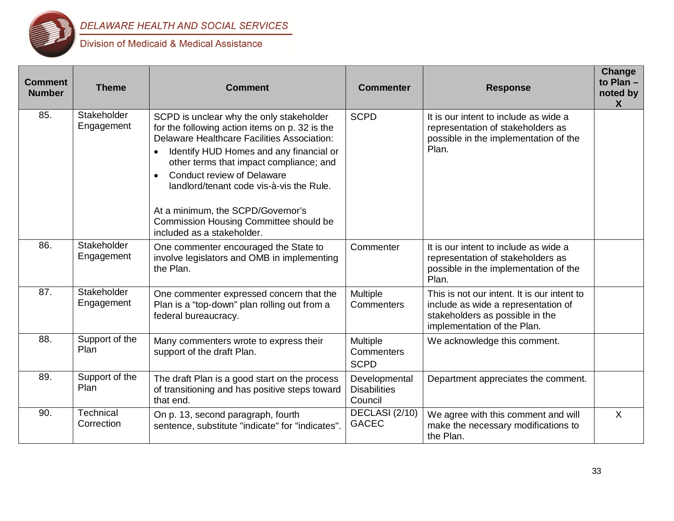

| <b>Comment</b><br><b>Number</b> | <b>Theme</b>              | <b>Comment</b>                                                                                                                                                                                                                                                                                                                                                                                                                                    | <b>Commenter</b>                                | <b>Response</b>                                                                                                                                      | Change<br>to Plan -<br>noted by<br>$\boldsymbol{X}$ |
|---------------------------------|---------------------------|---------------------------------------------------------------------------------------------------------------------------------------------------------------------------------------------------------------------------------------------------------------------------------------------------------------------------------------------------------------------------------------------------------------------------------------------------|-------------------------------------------------|------------------------------------------------------------------------------------------------------------------------------------------------------|-----------------------------------------------------|
| 85.                             | Stakeholder<br>Engagement | SCPD is unclear why the only stakeholder<br>for the following action items on p. 32 is the<br><b>Delaware Healthcare Facilities Association:</b><br>Identify HUD Homes and any financial or<br>other terms that impact compliance; and<br><b>Conduct review of Delaware</b><br>$\bullet$<br>landlord/tenant code vis-à-vis the Rule.<br>At a minimum, the SCPD/Governor's<br>Commission Housing Committee should be<br>included as a stakeholder. | <b>SCPD</b>                                     | It is our intent to include as wide a<br>representation of stakeholders as<br>possible in the implementation of the<br>Plan.                         |                                                     |
| 86.                             | Stakeholder<br>Engagement | One commenter encouraged the State to<br>involve legislators and OMB in implementing<br>the Plan.                                                                                                                                                                                                                                                                                                                                                 | Commenter                                       | It is our intent to include as wide a<br>representation of stakeholders as<br>possible in the implementation of the<br>Plan.                         |                                                     |
| 87.                             | Stakeholder<br>Engagement | One commenter expressed concern that the<br>Plan is a "top-down" plan rolling out from a<br>federal bureaucracy.                                                                                                                                                                                                                                                                                                                                  | Multiple<br>Commenters                          | This is not our intent. It is our intent to<br>include as wide a representation of<br>stakeholders as possible in the<br>implementation of the Plan. |                                                     |
| 88.                             | Support of the<br>Plan    | Many commenters wrote to express their<br>support of the draft Plan.                                                                                                                                                                                                                                                                                                                                                                              | <b>Multiple</b><br>Commenters<br><b>SCPD</b>    | We acknowledge this comment.                                                                                                                         |                                                     |
| 89.                             | Support of the<br>Plan    | The draft Plan is a good start on the process<br>of transitioning and has positive steps toward<br>that end.                                                                                                                                                                                                                                                                                                                                      | Developmental<br><b>Disabilities</b><br>Council | Department appreciates the comment.                                                                                                                  |                                                     |
| 90.                             | Technical<br>Correction   | On p. 13, second paragraph, fourth<br>sentence, substitute "indicate" for "indicates".                                                                                                                                                                                                                                                                                                                                                            | DECLASI (2/10)<br><b>GACEC</b>                  | We agree with this comment and will<br>make the necessary modifications to<br>the Plan.                                                              | $\sf X$                                             |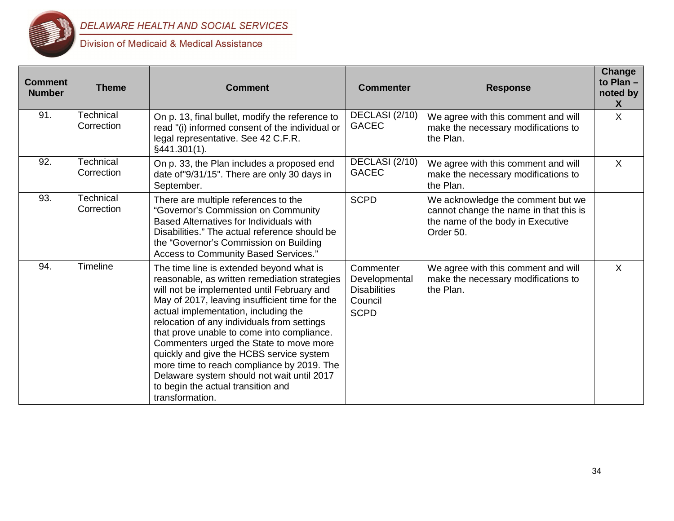

| <b>Comment</b><br><b>Number</b> | <b>Theme</b>                   | <b>Comment</b>                                                                                                                                                                                                                                                                                                                                                                                                                                                                                                                                                             | <b>Commenter</b>                                                            | <b>Response</b>                                                                                                               | Change<br>to Plan $-$<br>noted by<br>X |
|---------------------------------|--------------------------------|----------------------------------------------------------------------------------------------------------------------------------------------------------------------------------------------------------------------------------------------------------------------------------------------------------------------------------------------------------------------------------------------------------------------------------------------------------------------------------------------------------------------------------------------------------------------------|-----------------------------------------------------------------------------|-------------------------------------------------------------------------------------------------------------------------------|----------------------------------------|
| 91.                             | <b>Technical</b><br>Correction | On p. 13, final bullet, modify the reference to<br>read "(i) informed consent of the individual or<br>legal representative. See 42 C.F.R.<br>§441.301(1).                                                                                                                                                                                                                                                                                                                                                                                                                  | DECLASI (2/10)<br><b>GACEC</b>                                              | We agree with this comment and will<br>make the necessary modifications to<br>the Plan.                                       | $\sf X$                                |
| 92.                             | Technical<br>Correction        | On p. 33, the Plan includes a proposed end<br>date of "9/31/15". There are only 30 days in<br>September.                                                                                                                                                                                                                                                                                                                                                                                                                                                                   | DECLASI (2/10)<br><b>GACEC</b>                                              | We agree with this comment and will<br>make the necessary modifications to<br>the Plan.                                       | $\sf X$                                |
| 93.                             | Technical<br>Correction        | There are multiple references to the<br>"Governor's Commission on Community<br>Based Alternatives for Individuals with<br>Disabilities." The actual reference should be<br>the "Governor's Commission on Building<br>Access to Community Based Services."                                                                                                                                                                                                                                                                                                                  | <b>SCPD</b>                                                                 | We acknowledge the comment but we<br>cannot change the name in that this is<br>the name of the body in Executive<br>Order 50. |                                        |
| 94.                             | <b>Timeline</b>                | The time line is extended beyond what is<br>reasonable, as written remediation strategies<br>will not be implemented until February and<br>May of 2017, leaving insufficient time for the<br>actual implementation, including the<br>relocation of any individuals from settings<br>that prove unable to come into compliance.<br>Commenters urged the State to move more<br>quickly and give the HCBS service system<br>more time to reach compliance by 2019. The<br>Delaware system should not wait until 2017<br>to begin the actual transition and<br>transformation. | Commenter<br>Developmental<br><b>Disabilities</b><br>Council<br><b>SCPD</b> | We agree with this comment and will<br>make the necessary modifications to<br>the Plan.                                       | $\mathsf{X}$                           |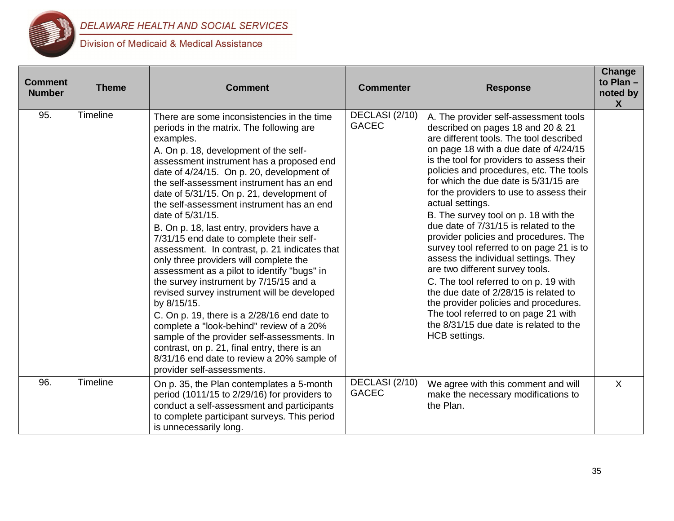

| <b>Comment</b><br><b>Number</b> | <b>Theme</b> | <b>Comment</b>                                                                                                                                                                                                                                                                                                                                                                                                                                                                                                                                                                                                                                                                                                                                                                                                                                                                                                                                                                                                    | <b>Commenter</b>               | <b>Response</b>                                                                                                                                                                                                                                                                                                                                                                                                                                                                                                                                                                                                                                                                                                                                                                                                                                | Change<br>to Plan -<br>noted by<br>$\mathsf{X}$ |
|---------------------------------|--------------|-------------------------------------------------------------------------------------------------------------------------------------------------------------------------------------------------------------------------------------------------------------------------------------------------------------------------------------------------------------------------------------------------------------------------------------------------------------------------------------------------------------------------------------------------------------------------------------------------------------------------------------------------------------------------------------------------------------------------------------------------------------------------------------------------------------------------------------------------------------------------------------------------------------------------------------------------------------------------------------------------------------------|--------------------------------|------------------------------------------------------------------------------------------------------------------------------------------------------------------------------------------------------------------------------------------------------------------------------------------------------------------------------------------------------------------------------------------------------------------------------------------------------------------------------------------------------------------------------------------------------------------------------------------------------------------------------------------------------------------------------------------------------------------------------------------------------------------------------------------------------------------------------------------------|-------------------------------------------------|
| 95.                             | Timeline     | There are some inconsistencies in the time<br>periods in the matrix. The following are<br>examples.<br>A. On p. 18, development of the self-<br>assessment instrument has a proposed end<br>date of 4/24/15. On p. 20, development of<br>the self-assessment instrument has an end<br>date of 5/31/15. On p. 21, development of<br>the self-assessment instrument has an end<br>date of 5/31/15.<br>B. On p. 18, last entry, providers have a<br>7/31/15 end date to complete their self-<br>assessment. In contrast, p. 21 indicates that<br>only three providers will complete the<br>assessment as a pilot to identify "bugs" in<br>the survey instrument by 7/15/15 and a<br>revised survey instrument will be developed<br>by 8/15/15.<br>C. On p. 19, there is a 2/28/16 end date to<br>complete a "look-behind" review of a 20%<br>sample of the provider self-assessments. In<br>contrast, on p. 21, final entry, there is an<br>8/31/16 end date to review a 20% sample of<br>provider self-assessments. | DECLASI (2/10)<br><b>GACEC</b> | A. The provider self-assessment tools<br>described on pages 18 and 20 & 21<br>are different tools. The tool described<br>on page 18 with a due date of 4/24/15<br>is the tool for providers to assess their<br>policies and procedures, etc. The tools<br>for which the due date is 5/31/15 are<br>for the providers to use to assess their<br>actual settings.<br>B. The survey tool on p. 18 with the<br>due date of 7/31/15 is related to the<br>provider policies and procedures. The<br>survey tool referred to on page 21 is to<br>assess the individual settings. They<br>are two different survey tools.<br>C. The tool referred to on p. 19 with<br>the due date of 2/28/15 is related to<br>the provider policies and procedures.<br>The tool referred to on page 21 with<br>the 8/31/15 due date is related to the<br>HCB settings. |                                                 |
| 96.                             | Timeline     | On p. 35, the Plan contemplates a 5-month<br>period (1011/15 to 2/29/16) for providers to<br>conduct a self-assessment and participants<br>to complete participant surveys. This period<br>is unnecessarily long.                                                                                                                                                                                                                                                                                                                                                                                                                                                                                                                                                                                                                                                                                                                                                                                                 | DECLASI (2/10)<br><b>GACEC</b> | We agree with this comment and will<br>make the necessary modifications to<br>the Plan.                                                                                                                                                                                                                                                                                                                                                                                                                                                                                                                                                                                                                                                                                                                                                        | X                                               |